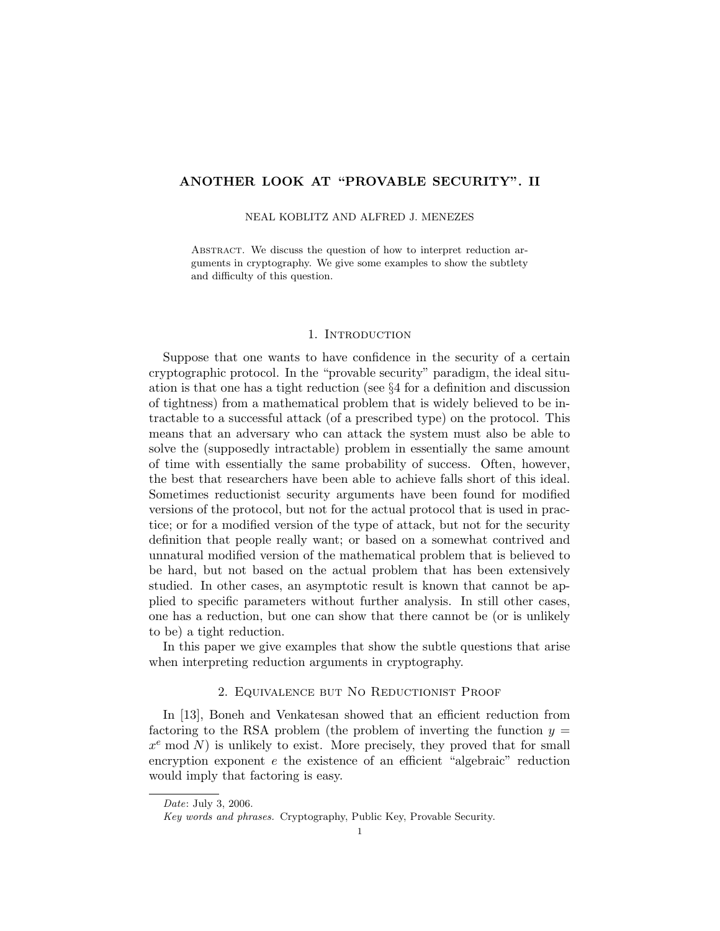# ANOTHER LOOK AT "PROVABLE SECURITY". II

NEAL KOBLITZ AND ALFRED J. MENEZES

ABSTRACT. We discuss the question of how to interpret reduction arguments in cryptography. We give some examples to show the subtlety and difficulty of this question.

### 1. INTRODUCTION

Suppose that one wants to have confidence in the security of a certain cryptographic protocol. In the "provable security" paradigm, the ideal situation is that one has a tight reduction (see §4 for a definition and discussion of tightness) from a mathematical problem that is widely believed to be intractable to a successful attack (of a prescribed type) on the protocol. This means that an adversary who can attack the system must also be able to solve the (supposedly intractable) problem in essentially the same amount of time with essentially the same probability of success. Often, however, the best that researchers have been able to achieve falls short of this ideal. Sometimes reductionist security arguments have been found for modified versions of the protocol, but not for the actual protocol that is used in practice; or for a modified version of the type of attack, but not for the security definition that people really want; or based on a somewhat contrived and unnatural modified version of the mathematical problem that is believed to be hard, but not based on the actual problem that has been extensively studied. In other cases, an asymptotic result is known that cannot be applied to specific parameters without further analysis. In still other cases, one has a reduction, but one can show that there cannot be (or is unlikely to be) a tight reduction.

In this paper we give examples that show the subtle questions that arise when interpreting reduction arguments in cryptography.

# 2. Equivalence but No Reductionist Proof

In [13], Boneh and Venkatesan showed that an efficient reduction from factoring to the RSA problem (the problem of inverting the function  $y =$  $x^e \mod N$  is unlikely to exist. More precisely, they proved that for small encryption exponent e the existence of an efficient "algebraic" reduction would imply that factoring is easy.

Date: July 3, 2006.

Key words and phrases. Cryptography, Public Key, Provable Security.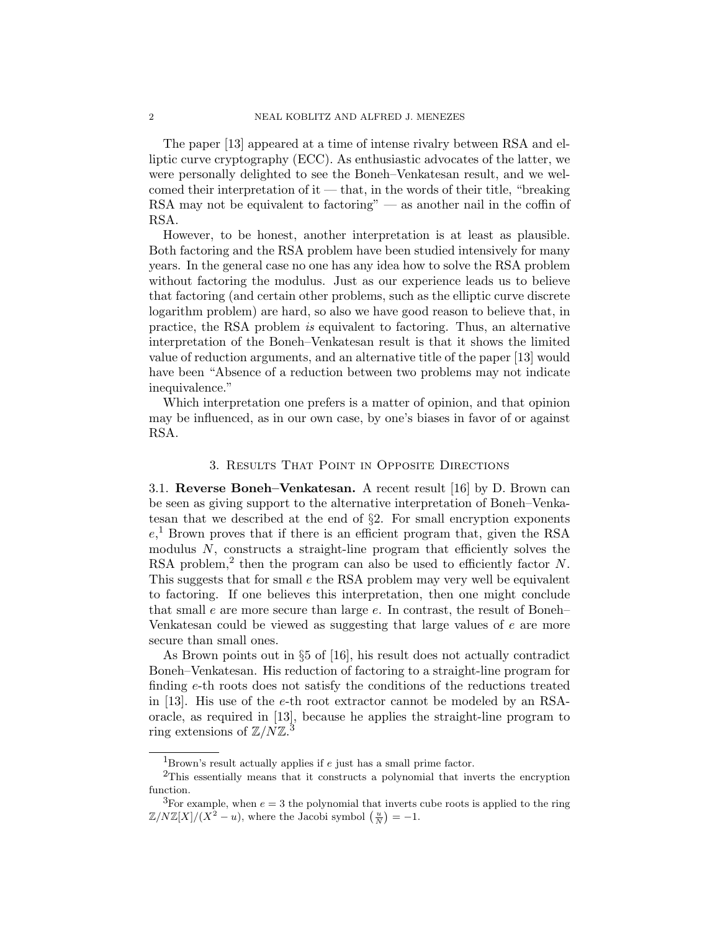The paper [13] appeared at a time of intense rivalry between RSA and elliptic curve cryptography (ECC). As enthusiastic advocates of the latter, we were personally delighted to see the Boneh–Venkatesan result, and we welcomed their interpretation of it  $-$  that, in the words of their title, "breaking RSA may not be equivalent to factoring" — as another nail in the coffin of RSA.

However, to be honest, another interpretation is at least as plausible. Both factoring and the RSA problem have been studied intensively for many years. In the general case no one has any idea how to solve the RSA problem without factoring the modulus. Just as our experience leads us to believe that factoring (and certain other problems, such as the elliptic curve discrete logarithm problem) are hard, so also we have good reason to believe that, in practice, the RSA problem is equivalent to factoring. Thus, an alternative interpretation of the Boneh–Venkatesan result is that it shows the limited value of reduction arguments, and an alternative title of the paper [13] would have been "Absence of a reduction between two problems may not indicate inequivalence."

Which interpretation one prefers is a matter of opinion, and that opinion may be influenced, as in our own case, by one's biases in favor of or against RSA.

# 3. Results That Point in Opposite Directions

3.1. Reverse Boneh–Venkatesan. A recent result [16] by D. Brown can be seen as giving support to the alternative interpretation of Boneh–Venkatesan that we described at the end of  $\S$ 2. For small encryption exponents  $e<sup>1</sup>$  Brown proves that if there is an efficient program that, given the RSA modulus  $N$ , constructs a straight-line program that efficiently solves the RSA problem,<sup>2</sup> then the program can also be used to efficiently factor  $N$ . This suggests that for small e the RSA problem may very well be equivalent to factoring. If one believes this interpretation, then one might conclude that small e are more secure than large e. In contrast, the result of Boneh– Venkatesan could be viewed as suggesting that large values of e are more secure than small ones.

As Brown points out in §5 of [16], his result does not actually contradict Boneh–Venkatesan. His reduction of factoring to a straight-line program for finding e-th roots does not satisfy the conditions of the reductions treated in [13]. His use of the e-th root extractor cannot be modeled by an RSAoracle, as required in [13], because he applies the straight-line program to ring extensions of  $\mathbb{Z}/N\mathbb{Z}$ .<sup>3</sup>

 ${}^{1}$ Brown's result actually applies if  $e$  just has a small prime factor.

<sup>&</sup>lt;sup>2</sup>This essentially means that it constructs a polynomial that inverts the encryption function.

<sup>&</sup>lt;sup>3</sup>For example, when  $e = 3$  the polynomial that inverts cube roots is applied to the ring  $\mathbb{Z}/N\mathbb{Z}[X]/(X^2-u)$ , where the Jacobi symbol  $\left(\frac{u}{N}\right) = -1$ .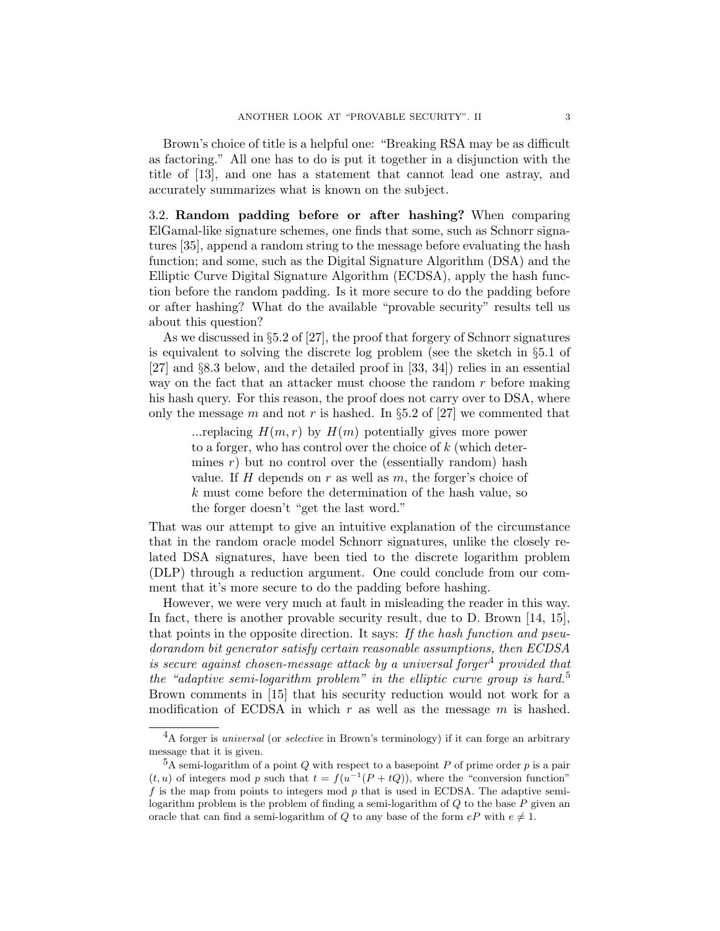Brown's choice of title is a helpful one: "Breaking RSA may be as difficult as factoring." All one has to do is put it together in a disjunction with the title of [13], and one has a statement that cannot lead one astray, and accurately summarizes what is known on the subject.

3.2. Random padding before or after hashing? When comparing ElGamal-like signature schemes, one finds that some, such as Schnorr signatures [35], append a random string to the message before evaluating the hash function; and some, such as the Digital Signature Algorithm (DSA) and the Elliptic Curve Digital Signature Algorithm (ECDSA), apply the hash function before the random padding. Is it more secure to do the padding before or after hashing? What do the available "provable security" results tell us about this question?

As we discussed in  $\S 5.2$  of [27], the proof that forgery of Schnorr signatures is equivalent to solving the discrete log problem (see the sketch in  $\S 5.1$  of [27] and §8.3 below, and the detailed proof in [33, 34]) relies in an essential way on the fact that an attacker must choose the random r before making his hash query. For this reason, the proof does not carry over to DSA, where only the message m and not r is hashed. In  $\S5.2$  of [27] we commented that

> ...replacing  $H(m, r)$  by  $H(m)$  potentially gives more power to a forger, who has control over the choice of k (which determines  $r$ ) but no control over the (essentially random) hash value. If  $H$  depends on  $r$  as well as  $m$ , the forger's choice of k must come before the determination of the hash value, so the forger doesn't "get the last word."

That was our attempt to give an intuitive explanation of the circumstance that in the random oracle model Schnorr signatures, unlike the closely related DSA signatures, have been tied to the discrete logarithm problem (DLP) through a reduction argument. One could conclude from our comment that it's more secure to do the padding before hashing.

However, we were very much at fault in misleading the reader in this way. In fact, there is another provable security result, due to D. Brown [14, 15], that points in the opposite direction. It says: If the hash function and pseudorandom bit generator satisfy certain reasonable assumptions, then ECDSA is secure against chosen-message attack by a universal forger<sup>4</sup> provided that the "adaptive semi-logarithm problem" in the elliptic curve group is hard.<sup>5</sup> Brown comments in [15] that his security reduction would not work for a modification of ECDSA in which  $r$  as well as the message  $m$  is hashed.

 ${}^{4}$ A forger is *universal* (or *selective* in Brown's terminology) if it can forge an arbitrary message that it is given.

<sup>&</sup>lt;sup>5</sup>A semi-logarithm of a point  $Q$  with respect to a basepoint  $P$  of prime order  $p$  is a pair  $(t, u)$  of integers mod p such that  $t = f(u^{-1}(P + tQ))$ , where the "conversion function" f is the map from points to integers mod  $p$  that is used in ECDSA. The adaptive semilogarithm problem is the problem of finding a semi-logarithm of  $Q$  to the base  $P$  given an oracle that can find a semi-logarithm of Q to any base of the form  $eP$  with  $e \neq 1$ .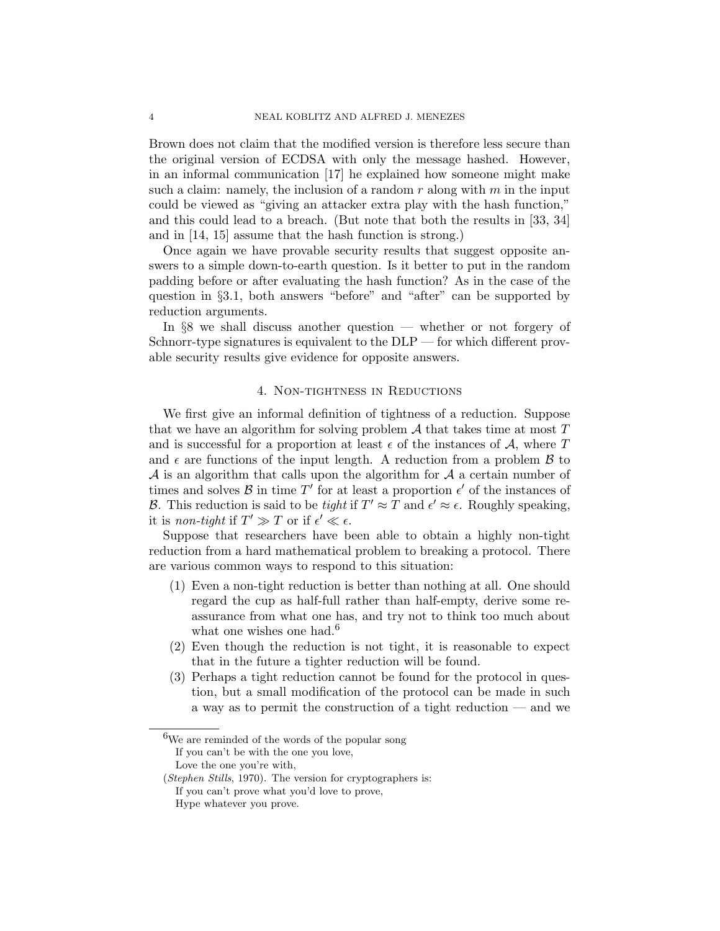Brown does not claim that the modified version is therefore less secure than the original version of ECDSA with only the message hashed. However, in an informal communication [17] he explained how someone might make such a claim: namely, the inclusion of a random  $r$  along with  $m$  in the input could be viewed as "giving an attacker extra play with the hash function," and this could lead to a breach. (But note that both the results in [33, 34] and in [14, 15] assume that the hash function is strong.)

Once again we have provable security results that suggest opposite answers to a simple down-to-earth question. Is it better to put in the random padding before or after evaluating the hash function? As in the case of the question in §3.1, both answers "before" and "after" can be supported by reduction arguments.

In §8 we shall discuss another question — whether or not forgery of Schnorr-type signatures is equivalent to the DLP — for which different provable security results give evidence for opposite answers.

### 4. Non-tightness in Reductions

We first give an informal definition of tightness of a reduction. Suppose that we have an algorithm for solving problem  $A$  that takes time at most  $T$ and is successful for a proportion at least  $\epsilon$  of the instances of A, where T and  $\epsilon$  are functions of the input length. A reduction from a problem  $\beta$  to  $\mathcal A$  is an algorithm that calls upon the algorithm for  $\mathcal A$  a certain number of times and solves  $\mathcal{B}$  in time  $T'$  for at least a proportion  $\epsilon'$  of the instances of B. This reduction is said to be *tight* if  $T' \approx T$  and  $\epsilon' \approx \epsilon$ . Roughly speaking, it is *non-tight* if  $T' \gg T$  or if  $\epsilon' \ll \epsilon$ .

Suppose that researchers have been able to obtain a highly non-tight reduction from a hard mathematical problem to breaking a protocol. There are various common ways to respond to this situation:

- (1) Even a non-tight reduction is better than nothing at all. One should regard the cup as half-full rather than half-empty, derive some reassurance from what one has, and try not to think too much about what one wishes one had.<sup>6</sup>
- (2) Even though the reduction is not tight, it is reasonable to expect that in the future a tighter reduction will be found.
- (3) Perhaps a tight reduction cannot be found for the protocol in question, but a small modification of the protocol can be made in such a way as to permit the construction of a tight reduction — and we

 ${}^{6}$ We are reminded of the words of the popular song If you can't be with the one you love,

Love the one you're with,

<sup>(</sup>Stephen Stills, 1970). The version for cryptographers is: If you can't prove what you'd love to prove,

Hype whatever you prove.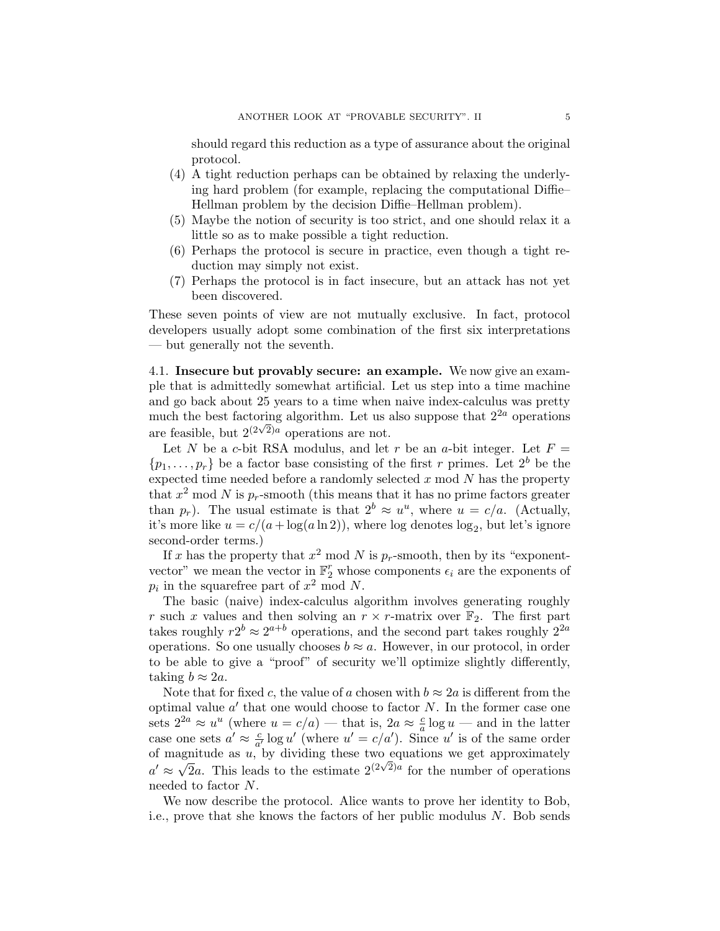should regard this reduction as a type of assurance about the original protocol.

- (4) A tight reduction perhaps can be obtained by relaxing the underlying hard problem (for example, replacing the computational Diffie– Hellman problem by the decision Diffie–Hellman problem).
- (5) Maybe the notion of security is too strict, and one should relax it a little so as to make possible a tight reduction.
- (6) Perhaps the protocol is secure in practice, even though a tight reduction may simply not exist.
- (7) Perhaps the protocol is in fact insecure, but an attack has not yet been discovered.

These seven points of view are not mutually exclusive. In fact, protocol developers usually adopt some combination of the first six interpretations — but generally not the seventh.

4.1. Insecure but provably secure: an example. We now give an example that is admittedly somewhat artificial. Let us step into a time machine and go back about 25 years to a time when naive index-calculus was pretty much the best factoring algorithm. Let us also suppose that  $2^{2a}$  operations are feasible, but  $2^{(2\sqrt{2})a}$  operations are not.

Let N be a c-bit RSA modulus, and let r be an a-bit integer. Let  $F =$  $\{p_1, \ldots, p_r\}$  be a factor base consisting of the first r primes. Let  $2^b$  be the expected time needed before a randomly selected  $x \mod N$  has the property that  $x^2$  mod N is  $p_r$ -smooth (this means that it has no prime factors greater than  $p_r$ ). The usual estimate is that  $2^b \approx u^u$ , where  $u = c/a$ . (Actually, it's more like  $u = c/(a + \log(a \ln 2))$ , where  $\log$  denotes  $\log_2$ , but let's ignore second-order terms.)

If x has the property that  $x^2 \mod N$  is  $p_r$ -smooth, then by its "exponentvector" we mean the vector in  $\mathbb{F}_2^r$  whose components  $\epsilon_i$  are the exponents of  $p_i$  in the squarefree part of  $x^2$  mod N.

The basic (naive) index-calculus algorithm involves generating roughly r such x values and then solving an  $r \times r$ -matrix over  $\mathbb{F}_2$ . The first part takes roughly  $r2^b \approx 2^{a+b}$  operations, and the second part takes roughly  $2^{2a}$ operations. So one usually chooses  $b \approx a$ . However, in our protocol, in order to be able to give a "proof" of security we'll optimize slightly differently, taking  $b \approx 2a$ .

Note that for fixed c, the value of a chosen with  $b \approx 2a$  is different from the optimal value  $a'$  that one would choose to factor N. In the former case one sets  $2^{2a} \approx u^u$  (where  $u = c/a$ ) — that is,  $2a \approx \frac{c}{a}$  $\frac{c}{a} \log u$  — and in the latter case one sets  $a' \approx \frac{c}{a'}$  $\frac{c}{a'}\log u'$  (where  $u' = c/a'$ ). Since u' is of the same order of magnitude as  $u$ , by dividing these two equations we get approximately  $a' \approx \sqrt{2}a$ . This leads to the estimate  $2^{(2\sqrt{2})a}$  for the number of operations needed to factor N.

We now describe the protocol. Alice wants to prove her identity to Bob, i.e., prove that she knows the factors of her public modulus  $N$ . Bob sends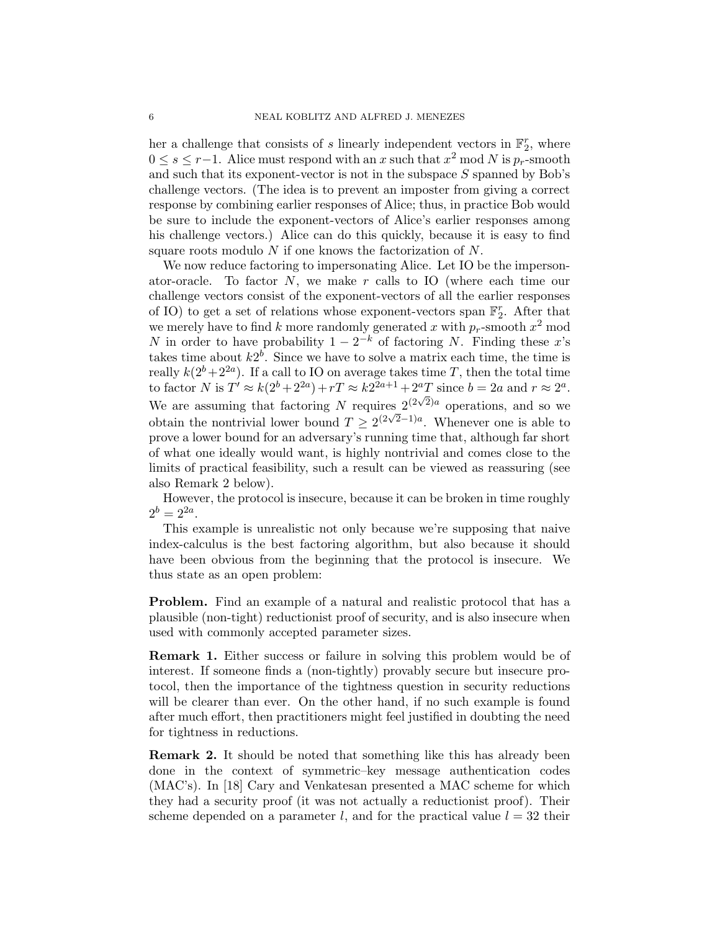her a challenge that consists of s linearly independent vectors in  $\mathbb{F}_2^r$ , where  $0 \leq s \leq r-1$ . Alice must respond with an x such that  $x^2 \mod N$  is  $p_r$ -smooth and such that its exponent-vector is not in the subspace  $S$  spanned by Bob's challenge vectors. (The idea is to prevent an imposter from giving a correct response by combining earlier responses of Alice; thus, in practice Bob would be sure to include the exponent-vectors of Alice's earlier responses among his challenge vectors.) Alice can do this quickly, because it is easy to find square roots modulo N if one knows the factorization of N.

We now reduce factoring to impersonating Alice. Let IO be the impersonator-oracle. To factor  $N$ , we make r calls to IO (where each time our challenge vectors consist of the exponent-vectors of all the earlier responses of IO) to get a set of relations whose exponent-vectors span  $\mathbb{F}_2^r$ . After that we merely have to find k more randomly generated x with  $p_r$ -smooth  $x^2$  mod N in order to have probability  $1 - 2^{-k}$  of factoring N. Finding these x's takes time about  $k2^b$ . Since we have to solve a matrix each time, the time is really  $k(2^b+2^{2a})$ . If a call to IO on average takes time T, then the total time to factor N is  $T' \approx k(2^b + 2^{2a}) + rT \approx k2^{2a+1} + 2^aT$  since  $b = 2a$  and  $r \approx 2^a$ . We are assuming that factoring N requires  $2^{(2\sqrt{2})a}$  operations, and so we obtain the nontrivial lower bound  $T \geq 2^{(2\sqrt{2}-1)a}$ . Whenever one is able to prove a lower bound for an adversary's running time that, although far short of what one ideally would want, is highly nontrivial and comes close to the limits of practical feasibility, such a result can be viewed as reassuring (see also Remark 2 below).

However, the protocol is insecure, because it can be broken in time roughly  $2^b = 2^{2a}$ .

This example is unrealistic not only because we're supposing that naive index-calculus is the best factoring algorithm, but also because it should have been obvious from the beginning that the protocol is insecure. We thus state as an open problem:

Problem. Find an example of a natural and realistic protocol that has a plausible (non-tight) reductionist proof of security, and is also insecure when used with commonly accepted parameter sizes.

Remark 1. Either success or failure in solving this problem would be of interest. If someone finds a (non-tightly) provably secure but insecure protocol, then the importance of the tightness question in security reductions will be clearer than ever. On the other hand, if no such example is found after much effort, then practitioners might feel justified in doubting the need for tightness in reductions.

Remark 2. It should be noted that something like this has already been done in the context of symmetric–key message authentication codes (MAC's). In [18] Cary and Venkatesan presented a MAC scheme for which they had a security proof (it was not actually a reductionist proof). Their scheme depended on a parameter l, and for the practical value  $l = 32$  their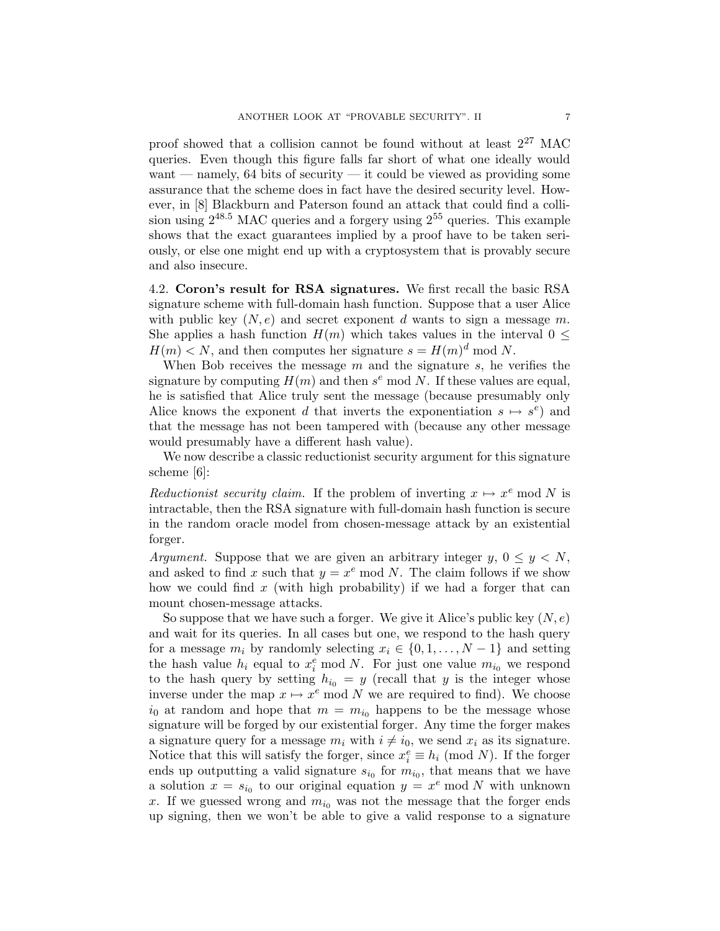proof showed that a collision cannot be found without at least 2 <sup>27</sup> MAC queries. Even though this figure falls far short of what one ideally would want — namely,  $64$  bits of security — it could be viewed as providing some assurance that the scheme does in fact have the desired security level. However, in [8] Blackburn and Paterson found an attack that could find a collision using  $2^{48.5}$  MAC queries and a forgery using  $2^{55}$  queries. This example shows that the exact guarantees implied by a proof have to be taken seriously, or else one might end up with a cryptosystem that is provably secure and also insecure.

4.2. Coron's result for RSA signatures. We first recall the basic RSA signature scheme with full-domain hash function. Suppose that a user Alice with public key  $(N, e)$  and secret exponent d wants to sign a message m. She applies a hash function  $H(m)$  which takes values in the interval  $0 \leq$  $H(m) < N$ , and then computes her signature  $s = H(m)^d \mod N$ .

When Bob receives the message  $m$  and the signature  $s$ , he verifies the signature by computing  $H(m)$  and then  $s^e$  mod N. If these values are equal, he is satisfied that Alice truly sent the message (because presumably only Alice knows the exponent d that inverts the exponentiation  $s \mapsto s^e$  and that the message has not been tampered with (because any other message would presumably have a different hash value).

We now describe a classic reductionist security argument for this signature scheme [6]:

Reductionist security claim. If the problem of inverting  $x \mapsto x^e \mod N$  is intractable, then the RSA signature with full-domain hash function is secure in the random oracle model from chosen-message attack by an existential forger.

Argument. Suppose that we are given an arbitrary integer  $y, 0 \le y \le N$ , and asked to find x such that  $y = x^e \mod N$ . The claim follows if we show how we could find  $x$  (with high probability) if we had a forger that can mount chosen-message attacks.

So suppose that we have such a forger. We give it Alice's public key  $(N, e)$ and wait for its queries. In all cases but one, we respond to the hash query for a message  $m_i$  by randomly selecting  $x_i \in \{0, 1, \ldots, N-1\}$  and setting the hash value  $h_i$  equal to  $x_i^e$  mod N. For just one value  $m_{i_0}$  we respond to the hash query by setting  $h_{i0} = y$  (recall that y is the integer whose inverse under the map  $x \mapsto x^e \mod N$  we are required to find). We choose  $i_0$  at random and hope that  $m = m_{i_0}$  happens to be the message whose signature will be forged by our existential forger. Any time the forger makes a signature query for a message  $m_i$  with  $i \neq i_0$ , we send  $x_i$  as its signature. Notice that this will satisfy the forger, since  $x_i^e \equiv h_i \pmod{N}$ . If the forger ends up outputting a valid signature  $s_{i_0}$  for  $m_{i_0}$ , that means that we have a solution  $x = s_{i_0}$  to our original equation  $y = x^e \mod N$  with unknown x. If we guessed wrong and  $m_{i_0}$  was not the message that the forger ends up signing, then we won't be able to give a valid response to a signature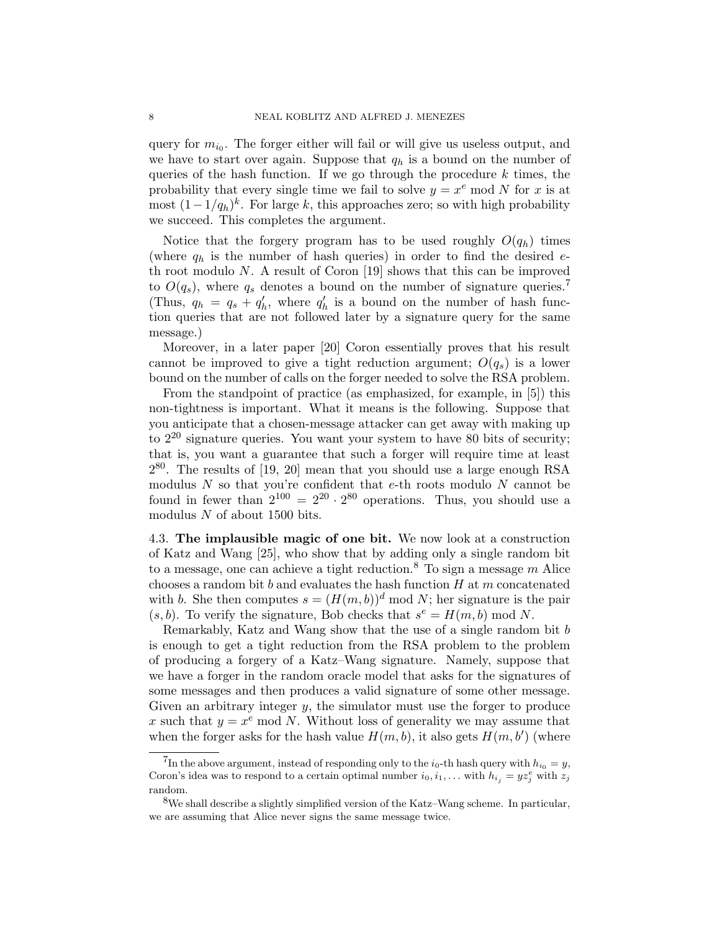query for  $m_{i_0}$ . The forger either will fail or will give us useless output, and we have to start over again. Suppose that  $q_h$  is a bound on the number of queries of the hash function. If we go through the procedure  $k$  times, the probability that every single time we fail to solve  $y = x^e \mod N$  for x is at most  $(1-1/q_h)^k$ . For large k, this approaches zero; so with high probability we succeed. This completes the argument.

Notice that the forgery program has to be used roughly  $O(q_h)$  times (where  $q_h$  is the number of hash queries) in order to find the desired  $e$ th root modulo N. A result of Coron [19] shows that this can be improved to  $O(q_s)$ , where  $q_s$  denotes a bound on the number of signature queries.<sup>7</sup> (Thus,  $q_h = q_s + q'_h$ , where  $q'_h$  is a bound on the number of hash function queries that are not followed later by a signature query for the same message.)

Moreover, in a later paper [20] Coron essentially proves that his result cannot be improved to give a tight reduction argument;  $O(q_s)$  is a lower bound on the number of calls on the forger needed to solve the RSA problem.

From the standpoint of practice (as emphasized, for example, in [5]) this non-tightness is important. What it means is the following. Suppose that you anticipate that a chosen-message attacker can get away with making up to 2 <sup>20</sup> signature queries. You want your system to have 80 bits of security; that is, you want a guarantee that such a forger will require time at least 2 80 . The results of [19, 20] mean that you should use a large enough RSA modulus  $N$  so that you're confident that  $e$ -th roots modulo  $N$  cannot be found in fewer than  $2^{100} = 2^{20} \cdot 2^{80}$  operations. Thus, you should use a modulus N of about 1500 bits.

4.3. The implausible magic of one bit. We now look at a construction of Katz and Wang [25], who show that by adding only a single random bit to a message, one can achieve a tight reduction.<sup>8</sup> To sign a message  $m$  Alice chooses a random bit  $b$  and evaluates the hash function  $H$  at  $m$  concatenated with b. She then computes  $s = (H(m, b))^d \mod N$ ; her signature is the pair  $(s, b)$ . To verify the signature, Bob checks that  $s^e = H(m, b) \text{ mod } N$ .

Remarkably, Katz and Wang show that the use of a single random bit b is enough to get a tight reduction from the RSA problem to the problem of producing a forgery of a Katz–Wang signature. Namely, suppose that we have a forger in the random oracle model that asks for the signatures of some messages and then produces a valid signature of some other message. Given an arbitrary integer  $y$ , the simulator must use the forger to produce x such that  $y = x^e \mod N$ . Without loss of generality we may assume that when the forger asks for the hash value  $H(m, b)$ , it also gets  $H(m, b')$  (where

<sup>&</sup>lt;sup>7</sup>In the above argument, instead of responding only to the  $i_0$ -th hash query with  $h_{i_0} = y$ , Coron's idea was to respond to a certain optimal number  $i_0, i_1, \ldots$  with  $h_{i_j} = yz_j^e$  with  $z_j$ random.

 $8W$ e shall describe a slightly simplified version of the Katz–Wang scheme. In particular, we are assuming that Alice never signs the same message twice.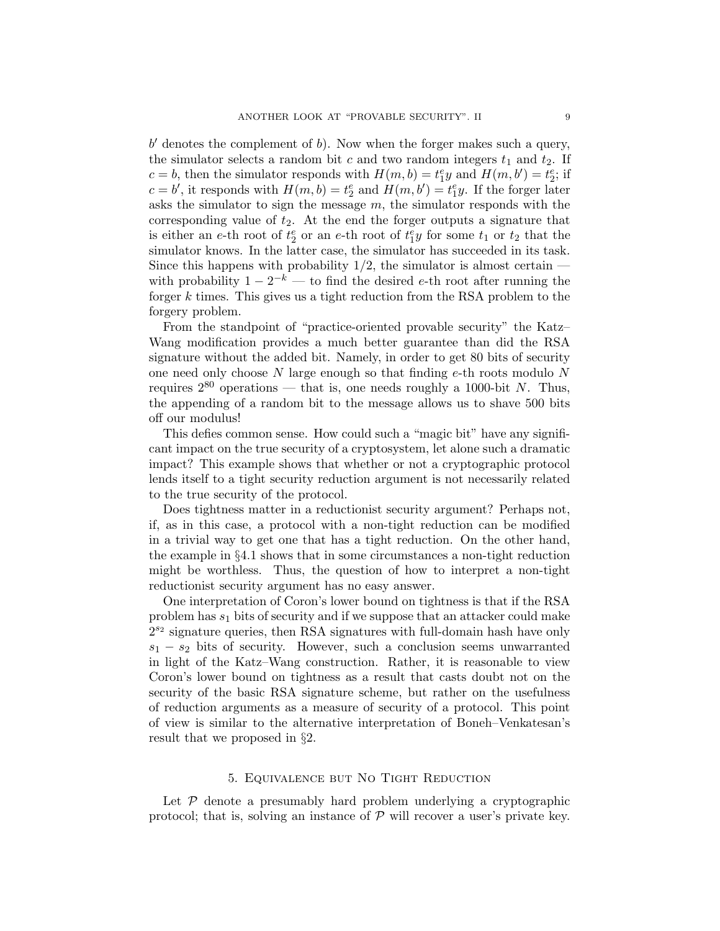$b'$  denotes the complement of  $b$ ). Now when the forger makes such a query, the simulator selects a random bit c and two random integers  $t_1$  and  $t_2$ . If  $c = b$ , then the simulator responds with  $H(m, b) = t_1^e y$  and  $H(m, b') = t_2^e$ ; if  $c = b'$ , it responds with  $H(m, b) = t_2^e$  and  $H(m, b') = t_1^e y$ . If the forger later asks the simulator to sign the message  $m$ , the simulator responds with the corresponding value of  $t_2$ . At the end the forger outputs a signature that is either an e-th root of  $t_2^e$  or an e-th root of  $t_1^e y$  for some  $t_1$  or  $t_2$  that the simulator knows. In the latter case, the simulator has succeeded in its task. Since this happens with probability  $1/2$ , the simulator is almost certain  $$ with probability  $1 - 2^{-k}$  — to find the desired e-th root after running the forger  $k$  times. This gives us a tight reduction from the RSA problem to the forgery problem.

From the standpoint of "practice-oriented provable security" the Katz– Wang modification provides a much better guarantee than did the RSA signature without the added bit. Namely, in order to get 80 bits of security one need only choose  $N$  large enough so that finding  $e$ -th roots modulo  $N$ requires  $2^{80}$  operations — that is, one needs roughly a 1000-bit N. Thus, the appending of a random bit to the message allows us to shave 500 bits off our modulus!

This defies common sense. How could such a "magic bit" have any significant impact on the true security of a cryptosystem, let alone such a dramatic impact? This example shows that whether or not a cryptographic protocol lends itself to a tight security reduction argument is not necessarily related to the true security of the protocol.

Does tightness matter in a reductionist security argument? Perhaps not, if, as in this case, a protocol with a non-tight reduction can be modified in a trivial way to get one that has a tight reduction. On the other hand, the example in §4.1 shows that in some circumstances a non-tight reduction might be worthless. Thus, the question of how to interpret a non-tight reductionist security argument has no easy answer.

One interpretation of Coron's lower bound on tightness is that if the RSA problem has  $s_1$  bits of security and if we suppose that an attacker could make  $2^{s_2}$  signature queries, then RSA signatures with full-domain hash have only  $s_1 - s_2$  bits of security. However, such a conclusion seems unwarranted in light of the Katz–Wang construction. Rather, it is reasonable to view Coron's lower bound on tightness as a result that casts doubt not on the security of the basic RSA signature scheme, but rather on the usefulness of reduction arguments as a measure of security of a protocol. This point of view is similar to the alternative interpretation of Boneh–Venkatesan's result that we proposed in §2.

### 5. Equivalence but No Tight Reduction

Let  $P$  denote a presumably hard problem underlying a cryptographic protocol; that is, solving an instance of  $\mathcal P$  will recover a user's private key.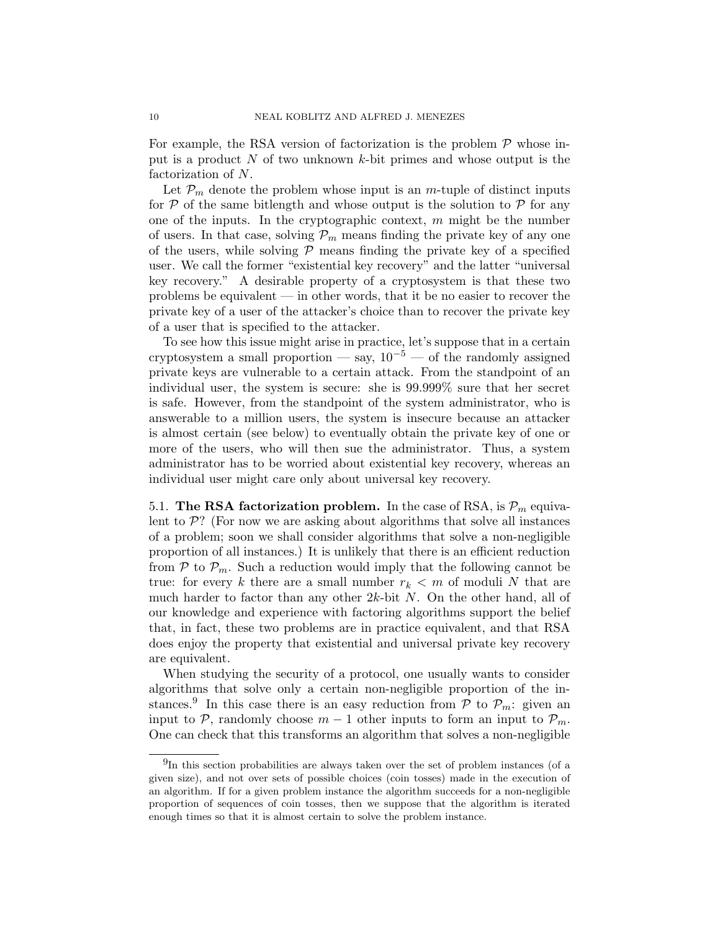For example, the RSA version of factorization is the problem  $P$  whose input is a product  $N$  of two unknown  $k$ -bit primes and whose output is the factorization of N.

Let  $\mathcal{P}_m$  denote the problem whose input is an *m*-tuple of distinct inputs for  $P$  of the same bitlength and whose output is the solution to  $P$  for any one of the inputs. In the cryptographic context,  $m$  might be the number of users. In that case, solving  $\mathcal{P}_m$  means finding the private key of any one of the users, while solving  $P$  means finding the private key of a specified user. We call the former "existential key recovery" and the latter "universal key recovery." A desirable property of a cryptosystem is that these two problems be equivalent — in other words, that it be no easier to recover the private key of a user of the attacker's choice than to recover the private key of a user that is specified to the attacker.

To see how this issue might arise in practice, let's suppose that in a certain cryptosystem a small proportion — say,  $10^{-5}$  — of the randomly assigned private keys are vulnerable to a certain attack. From the standpoint of an individual user, the system is secure: she is 99.999% sure that her secret is safe. However, from the standpoint of the system administrator, who is answerable to a million users, the system is insecure because an attacker is almost certain (see below) to eventually obtain the private key of one or more of the users, who will then sue the administrator. Thus, a system administrator has to be worried about existential key recovery, whereas an individual user might care only about universal key recovery.

5.1. The RSA factorization problem. In the case of RSA, is  $\mathcal{P}_m$  equivalent to  $\mathcal{P}$ ? (For now we are asking about algorithms that solve all instances of a problem; soon we shall consider algorithms that solve a non-negligible proportion of all instances.) It is unlikely that there is an efficient reduction from  $P$  to  $P_m$ . Such a reduction would imply that the following cannot be true: for every k there are a small number  $r_k < m$  of moduli N that are much harder to factor than any other  $2k$ -bit N. On the other hand, all of our knowledge and experience with factoring algorithms support the belief that, in fact, these two problems are in practice equivalent, and that RSA does enjoy the property that existential and universal private key recovery are equivalent.

When studying the security of a protocol, one usually wants to consider algorithms that solve only a certain non-negligible proportion of the instances.<sup>9</sup> In this case there is an easy reduction from  $P$  to  $P_m$ : given an input to P, randomly choose  $m-1$  other inputs to form an input to  $\mathcal{P}_m$ . One can check that this transforms an algorithm that solves a non-negligible

 $^{9}$ In this section probabilities are always taken over the set of problem instances (of a given size), and not over sets of possible choices (coin tosses) made in the execution of an algorithm. If for a given problem instance the algorithm succeeds for a non-negligible proportion of sequences of coin tosses, then we suppose that the algorithm is iterated enough times so that it is almost certain to solve the problem instance.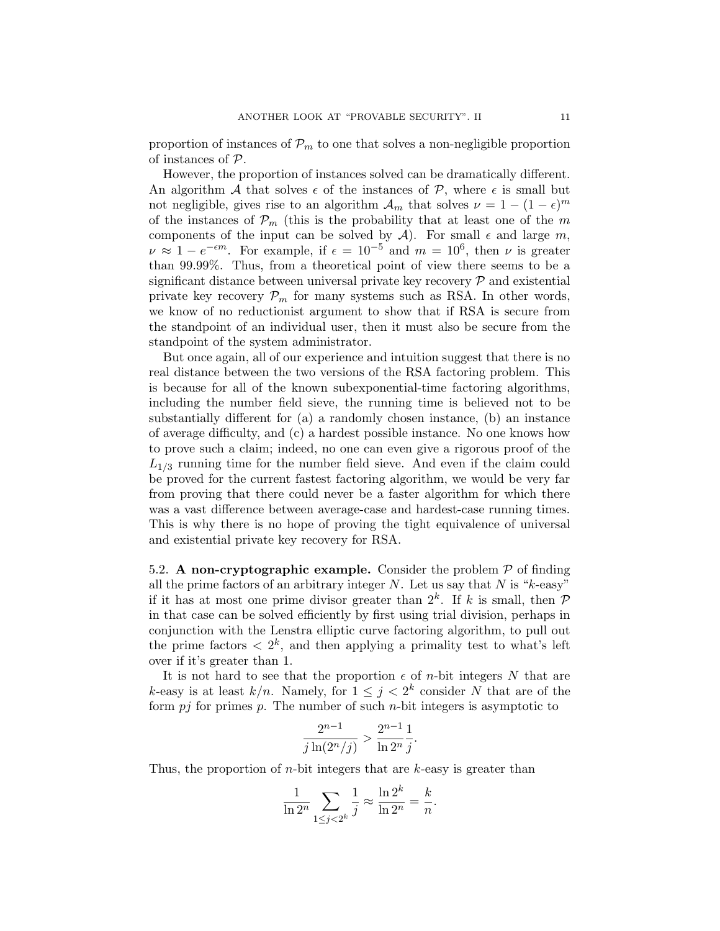proportion of instances of  $\mathcal{P}_m$  to one that solves a non-negligible proportion of instances of P.

However, the proportion of instances solved can be dramatically different. An algorithm A that solves  $\epsilon$  of the instances of P, where  $\epsilon$  is small but not negligible, gives rise to an algorithm  $\mathcal{A}_m$  that solves  $\nu = 1 - (1 - \epsilon)^m$ of the instances of  $\mathcal{P}_m$  (this is the probability that at least one of the m components of the input can be solved by  $A$ ). For small  $\epsilon$  and large m,  $\nu \approx 1 - e^{-\epsilon m}$ . For example, if  $\epsilon = 10^{-5}$  and  $m = 10^6$ , then  $\nu$  is greater than 99.99%. Thus, from a theoretical point of view there seems to be a significant distance between universal private key recovery  $P$  and existential private key recovery  $P_m$  for many systems such as RSA. In other words, we know of no reductionist argument to show that if RSA is secure from the standpoint of an individual user, then it must also be secure from the standpoint of the system administrator.

But once again, all of our experience and intuition suggest that there is no real distance between the two versions of the RSA factoring problem. This is because for all of the known subexponential-time factoring algorithms, including the number field sieve, the running time is believed not to be substantially different for (a) a randomly chosen instance, (b) an instance of average difficulty, and (c) a hardest possible instance. No one knows how to prove such a claim; indeed, no one can even give a rigorous proof of the  $L_{1/3}$  running time for the number field sieve. And even if the claim could be proved for the current fastest factoring algorithm, we would be very far from proving that there could never be a faster algorithm for which there was a vast difference between average-case and hardest-case running times. This is why there is no hope of proving the tight equivalence of universal and existential private key recovery for RSA.

5.2. A non-cryptographic example. Consider the problem  $P$  of finding all the prime factors of an arbitrary integer  $N$ . Let us say that  $N$  is " $k$ -easy" if it has at most one prime divisor greater than  $2^k$ . If k is small, then  $\mathcal P$ in that case can be solved efficiently by first using trial division, perhaps in conjunction with the Lenstra elliptic curve factoring algorithm, to pull out the prime factors  $\langle 2^k, \rangle$  and then applying a primality test to what's left over if it's greater than 1.

It is not hard to see that the proportion  $\epsilon$  of *n*-bit integers N that are k-easy is at least  $k/n$ . Namely, for  $1 \leq j < 2^k$  consider N that are of the form  $pj$  for primes p. The number of such n-bit integers is asymptotic to

$$
\frac{2^{n-1}}{j\ln(2^n/j)} > \frac{2^{n-1}}{\ln 2^n} \frac{1}{j}.
$$

Thus, the proportion of  $n$ -bit integers that are  $k$ -easy is greater than

$$
\frac{1}{\ln 2^n} \sum_{1 \le j < 2^k} \frac{1}{j} \approx \frac{\ln 2^k}{\ln 2^n} = \frac{k}{n}.
$$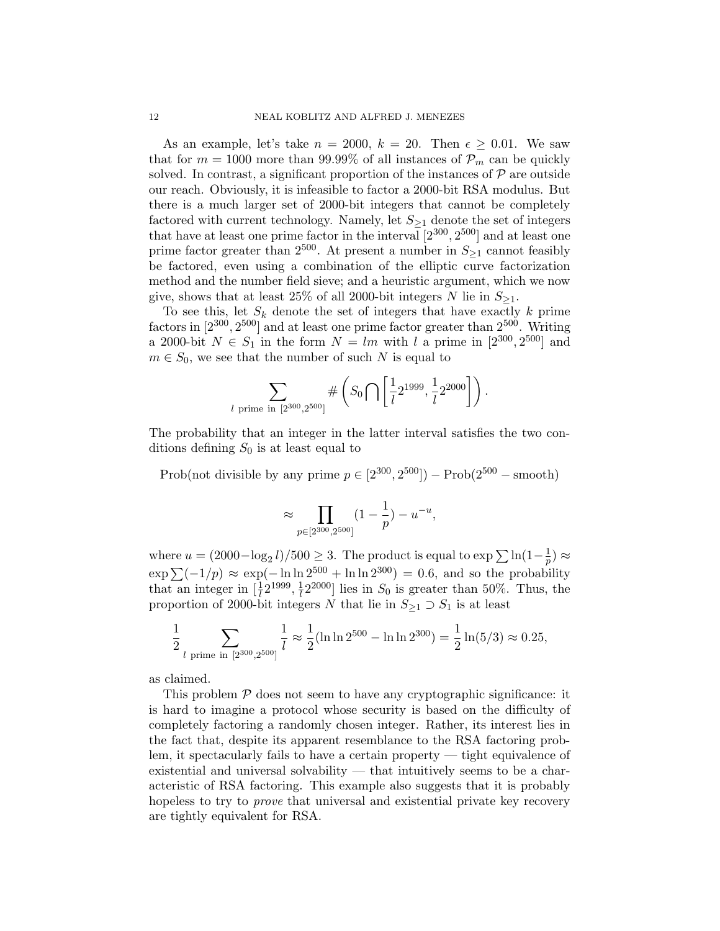As an example, let's take  $n = 2000, k = 20$ . Then  $\epsilon \geq 0.01$ . We saw that for  $m = 1000$  more than 99.99% of all instances of  $\mathcal{P}_m$  can be quickly solved. In contrast, a significant proportion of the instances of  $P$  are outside our reach. Obviously, it is infeasible to factor a 2000-bit RSA modulus. But there is a much larger set of 2000-bit integers that cannot be completely factored with current technology. Namely, let  $S_{\geq 1}$  denote the set of integers that have at least one prime factor in the interval  $[2^{300}, 2^{500}]$  and at least one prime factor greater than  $2^{500}$ . At present a number in  $S_{\geq 1}$  cannot feasibly be factored, even using a combination of the elliptic curve factorization method and the number field sieve; and a heuristic argument, which we now give, shows that at least 25% of all 2000-bit integers N lie in  $S_{\geq 1}$ .

To see this, let  $S_k$  denote the set of integers that have exactly k prime factors in  $[2^{300}, 2^{500}]$  and at least one prime factor greater than  $2^{500}$ . Writing a 2000-bit  $N \in S_1$  in the form  $N = lm$  with l a prime in  $[2^{300}, 2^{500}]$  and  $m \in S_0$ , we see that the number of such N is equal to

$$
\sum_{l \text{ prime in } [2^{300}, 2^{500}]} \# \left( S_0 \bigcap \left[ \frac{1}{l} 2^{1999}, \frac{1}{l} 2^{2000} \right] \right).
$$

The probability that an integer in the latter interval satisfies the two conditions defining  $S_0$  is at least equal to

Prob(not divisible by any prime  $p \in [2^{300}, 2^{500}]$ ) – Prob( $2^{500}$  – smooth)

$$
\approx \prod_{p \in [2^{300}, 2^{500}]} (1 - \frac{1}{p}) - u^{-u},
$$

where  $u = (2000 - \log_2 l)/500 \geq 3$ . The product is equal to  $\exp \sum \ln(1 - \frac{1}{p})$  $\frac{1}{p}) \approx$  $\exp\sum(-1/p) \approx \exp(-\ln \ln 2^{500} + \ln \ln 2^{300}) = 0.6$ , and so the probability that an integer in  $\left[\frac{1}{l}\right]$  $\frac{1}{l}2^{1999},\frac{1}{l}$  $\frac{1}{2}$  (2<sup>2000</sup>) lies in  $S_0$  is greater than 50%. Thus, the proportion of 2000-bit integers N that lie in  $S_{\geq 1} \supset S_1$  is at least

$$
\frac{1}{2} \sum_{l \text{ prime in } [2^{300}, 2^{500}]} \frac{1}{l} \approx \frac{1}{2} (\ln \ln 2^{500} - \ln \ln 2^{300}) = \frac{1}{2} \ln(5/3) \approx 0.25,
$$

as claimed.

This problem  $P$  does not seem to have any cryptographic significance: it is hard to imagine a protocol whose security is based on the difficulty of completely factoring a randomly chosen integer. Rather, its interest lies in the fact that, despite its apparent resemblance to the RSA factoring problem, it spectacularly fails to have a certain property — tight equivalence of existential and universal solvability — that intuitively seems to be a characteristic of RSA factoring. This example also suggests that it is probably hopeless to try to *prove* that universal and existential private key recovery are tightly equivalent for RSA.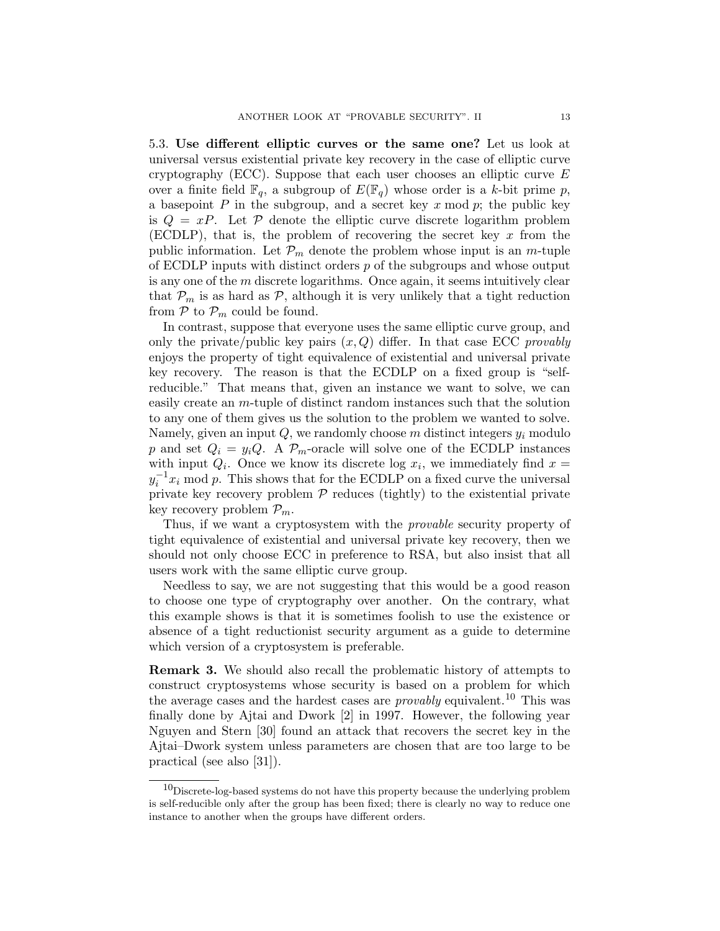5.3. Use different elliptic curves or the same one? Let us look at universal versus existential private key recovery in the case of elliptic curve cryptography (ECC). Suppose that each user chooses an elliptic curve  $E$ over a finite field  $\mathbb{F}_q$ , a subgroup of  $E(\mathbb{F}_q)$  whose order is a k-bit prime p, a basepoint  $P$  in the subgroup, and a secret key  $x \mod p$ ; the public key is  $Q = xP$ . Let P denote the elliptic curve discrete logarithm problem (ECDLP), that is, the problem of recovering the secret key  $x$  from the public information. Let  $\mathcal{P}_m$  denote the problem whose input is an *m*-tuple of ECDLP inputs with distinct orders  $p$  of the subgroups and whose output is any one of the m discrete logarithms. Once again, it seems intuitively clear that  $P_m$  is as hard as P, although it is very unlikely that a tight reduction from  $P$  to  $P_m$  could be found.

In contrast, suppose that everyone uses the same elliptic curve group, and only the private/public key pairs  $(x, Q)$  differ. In that case ECC provably enjoys the property of tight equivalence of existential and universal private key recovery. The reason is that the ECDLP on a fixed group is "selfreducible." That means that, given an instance we want to solve, we can easily create an m-tuple of distinct random instances such that the solution to any one of them gives us the solution to the problem we wanted to solve. Namely, given an input  $Q$ , we randomly choose m distinct integers  $y_i$  modulo p and set  $Q_i = y_i Q$ . A  $\mathcal{P}_m$ -oracle will solve one of the ECDLP instances with input  $Q_i$ . Once we know its discrete log  $x_i$ , we immediately find  $x =$  $y_i^{-1}x_i$  mod p. This shows that for the ECDLP on a fixed curve the universal private key recovery problem  $P$  reduces (tightly) to the existential private key recovery problem  $\mathcal{P}_m$ .

Thus, if we want a cryptosystem with the *provable* security property of tight equivalence of existential and universal private key recovery, then we should not only choose ECC in preference to RSA, but also insist that all users work with the same elliptic curve group.

Needless to say, we are not suggesting that this would be a good reason to choose one type of cryptography over another. On the contrary, what this example shows is that it is sometimes foolish to use the existence or absence of a tight reductionist security argument as a guide to determine which version of a cryptosystem is preferable.

Remark 3. We should also recall the problematic history of attempts to construct cryptosystems whose security is based on a problem for which the average cases and the hardest cases are *provably* equivalent.<sup>10</sup> This was finally done by Ajtai and Dwork [2] in 1997. However, the following year Nguyen and Stern [30] found an attack that recovers the secret key in the Ajtai–Dwork system unless parameters are chosen that are too large to be practical (see also [31]).

<sup>&</sup>lt;sup>10</sup>Discrete-log-based systems do not have this property because the underlying problem is self-reducible only after the group has been fixed; there is clearly no way to reduce one instance to another when the groups have different orders.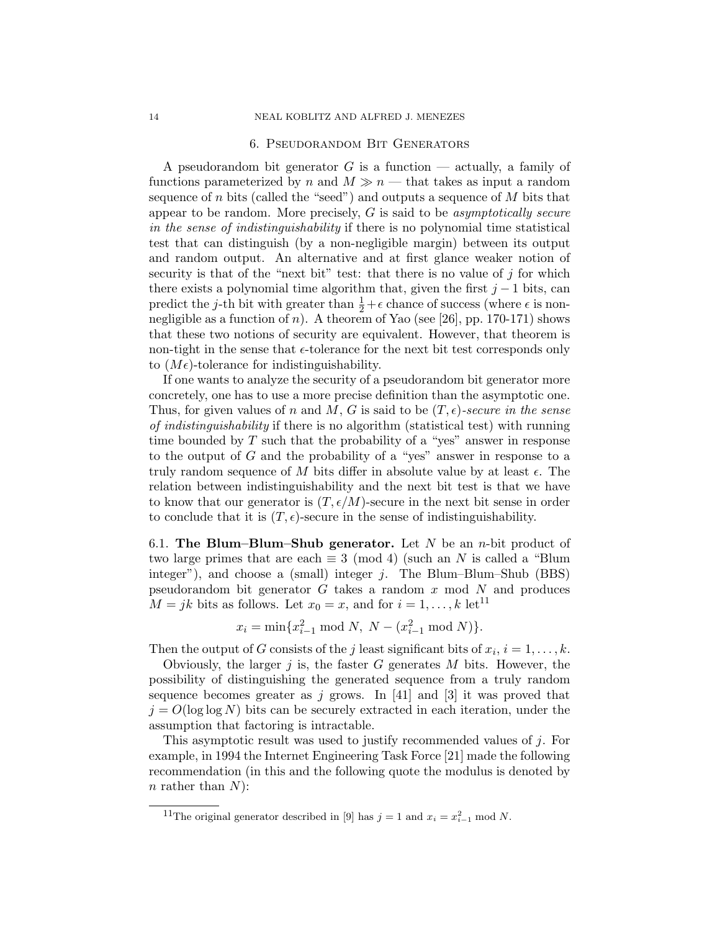#### 6. Pseudorandom Bit Generators

A pseudorandom bit generator  $G$  is a function — actually, a family of functions parameterized by n and  $M \gg n$  — that takes as input a random sequence of n bits (called the "seed") and outputs a sequence of  $M$  bits that appear to be random. More precisely,  $G$  is said to be *asymptotically secure* in the sense of indistinguishability if there is no polynomial time statistical test that can distinguish (by a non-negligible margin) between its output and random output. An alternative and at first glance weaker notion of security is that of the "next bit" test: that there is no value of  $j$  for which there exists a polynomial time algorithm that, given the first  $j - 1$  bits, can predict the j-th bit with greater than  $\frac{1}{2} + \epsilon$  chance of success (where  $\epsilon$  is nonnegligible as a function of n). A theorem of Yao (see [26], pp. 170-171) shows that these two notions of security are equivalent. However, that theorem is non-tight in the sense that  $\epsilon$ -tolerance for the next bit test corresponds only to  $(M_{\epsilon})$ -tolerance for indistinguishability.

If one wants to analyze the security of a pseudorandom bit generator more concretely, one has to use a more precise definition than the asymptotic one. Thus, for given values of n and M, G is said to be  $(T, \epsilon)$ -secure in the sense of indistinguishability if there is no algorithm (statistical test) with running time bounded by  $T$  such that the probability of a "yes" answer in response to the output of G and the probability of a "yes" answer in response to a truly random sequence of M bits differ in absolute value by at least  $\epsilon$ . The relation between indistinguishability and the next bit test is that we have to know that our generator is  $(T, \epsilon/M)$ -secure in the next bit sense in order to conclude that it is  $(T, \epsilon)$ -secure in the sense of indistinguishability.

6.1. The Blum–Blum–Shub generator. Let  $N$  be an *n*-bit product of two large primes that are each  $\equiv 3 \pmod{4}$  (such an N is called a "Blum") integer"), and choose a (small) integer  $j$ . The Blum–Blum–Shub (BBS) pseudorandom bit generator  $G$  takes a random  $x \mod N$  and produces  $M = jk$  bits as follows. Let  $x_0 = x$ , and for  $i = 1, ..., k$  let<sup>11</sup>

$$
x_i = \min\{x_{i-1}^2 \mod N, \ N - (x_{i-1}^2 \mod N)\}.
$$

Then the output of G consists of the j least significant bits of  $x_i$ ,  $i = 1, \ldots, k$ .

Obviously, the larger  $j$  is, the faster  $G$  generates  $M$  bits. However, the possibility of distinguishing the generated sequence from a truly random sequence becomes greater as j grows. In [41] and [3] it was proved that  $j = O(\log \log N)$  bits can be securely extracted in each iteration, under the assumption that factoring is intractable.

This asymptotic result was used to justify recommended values of j. For example, in 1994 the Internet Engineering Task Force [21] made the following recommendation (in this and the following quote the modulus is denoted by n rather than  $N$ ):

<sup>&</sup>lt;sup>11</sup>The original generator described in [9] has  $j = 1$  and  $x_i = x_{i-1}^2$  mod N.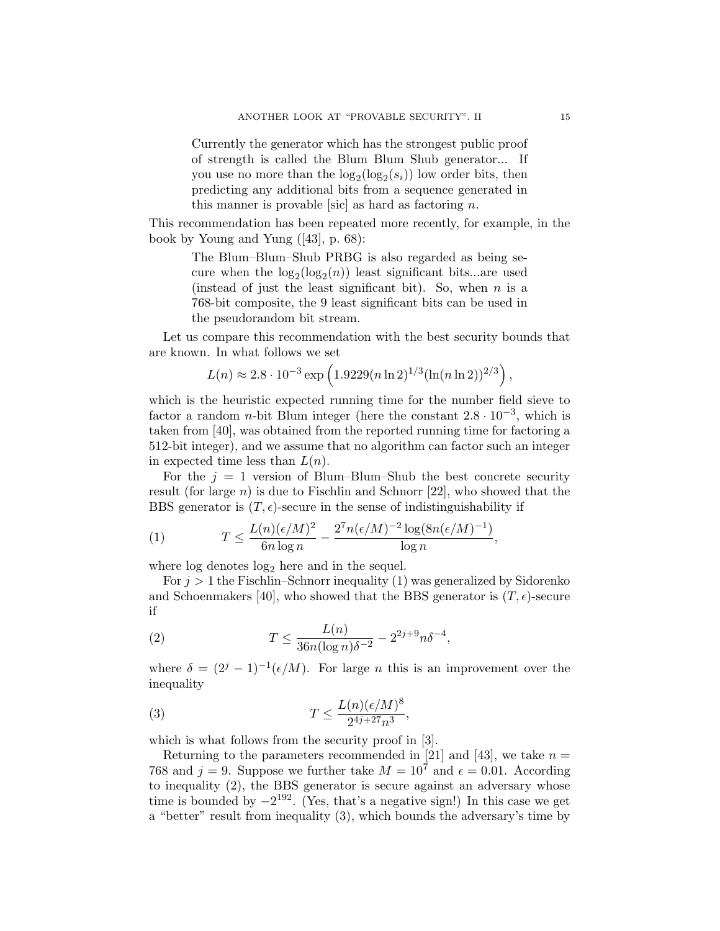Currently the generator which has the strongest public proof of strength is called the Blum Blum Shub generator... If you use no more than the  $\log_2(\log_2(s_i))$  low order bits, then predicting any additional bits from a sequence generated in this manner is provable [sic] as hard as factoring  $n$ .

This recommendation has been repeated more recently, for example, in the book by Young and Yung ([43], p. 68):

> The Blum–Blum–Shub PRBG is also regarded as being secure when the  $log_2(log_2(n))$  least significant bits...are used (instead of just the least significant bit). So, when  $n$  is a 768-bit composite, the 9 least significant bits can be used in the pseudorandom bit stream.

Let us compare this recommendation with the best security bounds that are known. In what follows we set

$$
L(n) \approx 2.8 \cdot 10^{-3} \exp\left(1.9229(n \ln 2)^{1/3} (\ln(n \ln 2))^{2/3}\right),\,
$$

which is the heuristic expected running time for the number field sieve to factor a random *n*-bit Blum integer (here the constant  $2.8 \cdot 10^{-3}$ , which is taken from [40], was obtained from the reported running time for factoring a 512-bit integer), and we assume that no algorithm can factor such an integer in expected time less than  $L(n)$ .

For the  $j = 1$  version of Blum–Blum–Shub the best concrete security result (for large  $n$ ) is due to Fischlin and Schnorr [22], who showed that the BBS generator is  $(T, \epsilon)$ -secure in the sense of indistinguishability if

(1) 
$$
T \leq \frac{L(n)(\epsilon/M)^2}{6n \log n} - \frac{2^7 n(\epsilon/M)^{-2} \log(8n(\epsilon/M)^{-1})}{\log n},
$$

where  $\log_2$  denotes  $\log_2$  here and in the sequel.

For  $j > 1$  the Fischlin–Schnorr inequality (1) was generalized by Sidorenko and Schoenmakers [40], who showed that the BBS generator is  $(T, \epsilon)$ -secure if

(2) 
$$
T \le \frac{L(n)}{36n(\log n)\delta^{-2}} - 2^{2j+9}n\delta^{-4},
$$

where  $\delta = (2^j - 1)^{-1} (\epsilon/M)$ . For large *n* this is an improvement over the inequality

(3) 
$$
T \leq \frac{L(n)(\epsilon/M)^8}{2^{4j+27}n^3},
$$

which is what follows from the security proof in [3].

Returning to the parameters recommended in [21] and [43], we take  $n =$ 768 and  $j = 9$ . Suppose we further take  $M = 10^7$  and  $\epsilon = 0.01$ . According to inequality (2), the BBS generator is secure against an adversary whose time is bounded by  $-2^{192}$ . (Yes, that's a negative sign!) In this case we get a "better" result from inequality (3), which bounds the adversary's time by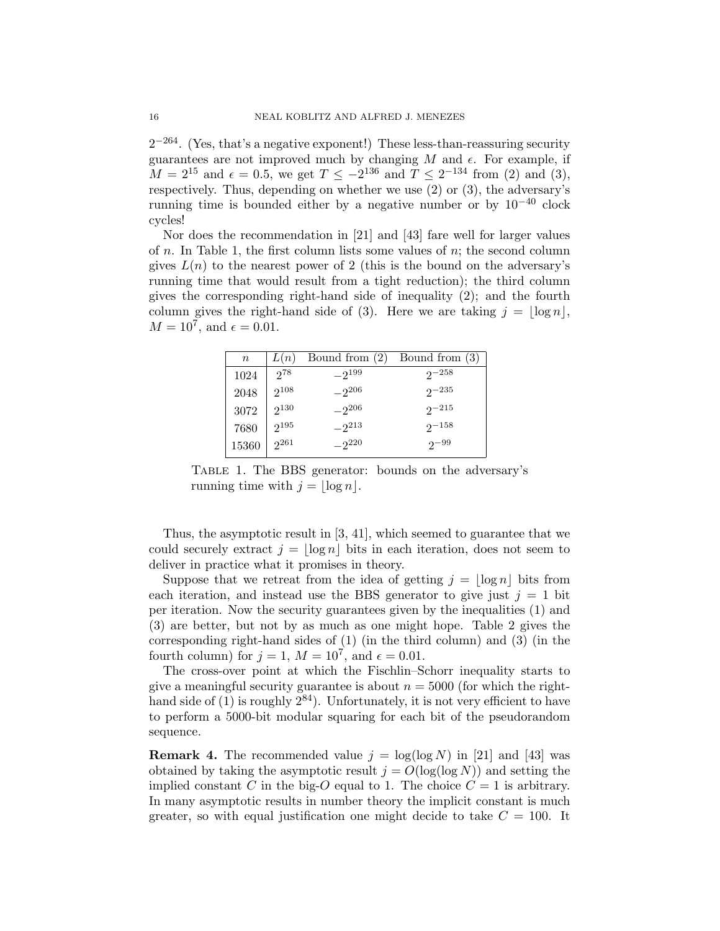$2^{-264}$ . (Yes, that's a negative exponent!) These less-than-reassuring security guarantees are not improved much by changing  $M$  and  $\epsilon$ . For example, if  $M = 2^{15}$  and  $\epsilon = 0.5$ , we get  $T \le -2^{136}$  and  $T \le 2^{-134}$  from (2) and (3), respectively. Thus, depending on whether we use  $(2)$  or  $(3)$ , the adversary's running time is bounded either by a negative number or by  $10^{-40}$  clock cycles!

Nor does the recommendation in [21] and [43] fare well for larger values of  $n$ . In Table 1, the first column lists some values of  $n$ ; the second column gives  $L(n)$  to the nearest power of 2 (this is the bound on the adversary's running time that would result from a tight reduction); the third column gives the corresponding right-hand side of inequality (2); and the fourth column gives the right-hand side of (3). Here we are taking  $j = |\log n|$ ,  $M = 10^7$ , and  $\epsilon = 0.01$ .

| $\, n$ | L(n)      | Bound from $(2)$ | Bound from (3) |
|--------|-----------|------------------|----------------|
| 1024   | 278       | $-2^{199}$       | $2^{-258}$     |
| 2048   | $2^{108}$ | $-2^{206}$       | $2^{-235}$     |
| 3072   | $2^{130}$ | $-2^{206}$       | $2^{-215}$     |
| 7680   | $2^{195}$ | $-2^{213}$       | $2^{-158}$     |
| 15360  | 2261      | $-2^{220}$       | $2^{-99}$      |

Table 1. The BBS generator: bounds on the adversary's running time with  $j = |\log n|$ .

Thus, the asymptotic result in [3, 41], which seemed to guarantee that we could securely extract  $j = |\log n|$  bits in each iteration, does not seem to deliver in practice what it promises in theory.

Suppose that we retreat from the idea of getting  $j = |\log n|$  bits from each iteration, and instead use the BBS generator to give just  $j = 1$  bit per iteration. Now the security guarantees given by the inequalities (1) and (3) are better, but not by as much as one might hope. Table 2 gives the corresponding right-hand sides of (1) (in the third column) and (3) (in the fourth column) for  $j = 1$ ,  $M = 10^7$ , and  $\epsilon = 0.01$ .

The cross-over point at which the Fischlin–Schorr inequality starts to give a meaningful security guarantee is about  $n = 5000$  (for which the righthand side of (1) is roughly  $2^{84}$ ). Unfortunately, it is not very efficient to have to perform a 5000-bit modular squaring for each bit of the pseudorandom sequence.

**Remark 4.** The recommended value  $j = \log(\log N)$  in [21] and [43] was obtained by taking the asymptotic result  $j = O(\log(\log N))$  and setting the implied constant C in the big-O equal to 1. The choice  $C = 1$  is arbitrary. In many asymptotic results in number theory the implicit constant is much greater, so with equal justification one might decide to take  $C = 100$ . It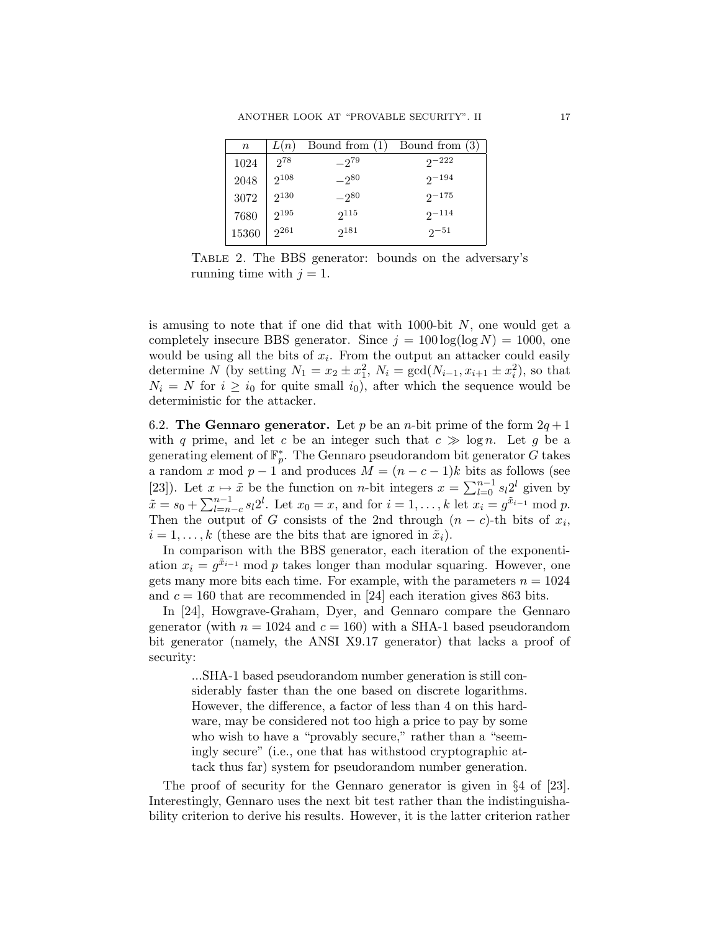| $\boldsymbol{n}$ | L(n)      | Bound from $(1)$ | Bound from (3) |
|------------------|-----------|------------------|----------------|
| 1024             | 278       | $-2^{79}$        | $2^{-222}$     |
| 2048             | $2^{108}$ | $-2^{80}$        | $2^{-194}$     |
| 3072             | $2^{130}$ | $-2^{80}$        | $2^{-175}$     |
| 7680             | $2^{195}$ | $2^{115}$        | $2^{-114}$     |
| 15360            | $2^{261}$ | $2^{181}$        | $2^{-51}$      |

Table 2. The BBS generator: bounds on the adversary's running time with  $j = 1$ .

is amusing to note that if one did that with 1000-bit  $N$ , one would get a completely insecure BBS generator. Since  $j = 100 \log(\log N) = 1000$ , one would be using all the bits of  $x_i$ . From the output an attacker could easily determine N (by setting  $N_1 = x_2 \pm x_1^2$ ,  $N_i = \gcd(N_{i-1}, x_{i+1} \pm x_i^2)$ , so that  $N_i = N$  for  $i \geq i_0$  for quite small  $i_0$ , after which the sequence would be deterministic for the attacker.

6.2. The Gennaro generator. Let p be an n-bit prime of the form  $2q + 1$ with q prime, and let c be an integer such that  $c \gg \log n$ . Let g be a generating element of  $\mathbb{F}_p^*$ . The Gennaro pseudorandom bit generator  $\tilde{G}$  takes a random x mod  $p-1$  and produces  $M = (n - c - 1)k$  bits as follows (see [23]). Let  $x \mapsto \tilde{x}$  be the function on *n*-bit integers  $x = \sum_{l=0}^{n-1} s_l 2^l$  given by  $\tilde{x} = s_0 + \sum_{l=n-c}^{n-1} s_l 2^l$ . Let  $x_0 = x$ , and for  $i = 1, ..., k$  let  $x_i = g^{\tilde{x}_{i-1}} \mod p$ . Then the output of G consists of the 2nd through  $(n - c)$ -th bits of  $x_i$ ,  $i = 1, \ldots, k$  (these are the bits that are ignored in  $\tilde{x}_i$ ).

In comparison with the BBS generator, each iteration of the exponentiation  $x_i = g^{\tilde{x}_{i-1}}$  mod p takes longer than modular squaring. However, one gets many more bits each time. For example, with the parameters  $n = 1024$ and  $c = 160$  that are recommended in [24] each iteration gives 863 bits.

In [24], Howgrave-Graham, Dyer, and Gennaro compare the Gennaro generator (with  $n = 1024$  and  $c = 160$ ) with a SHA-1 based pseudorandom bit generator (namely, the ANSI X9.17 generator) that lacks a proof of security:

...SHA-1 based pseudorandom number generation is still considerably faster than the one based on discrete logarithms. However, the difference, a factor of less than 4 on this hardware, may be considered not too high a price to pay by some who wish to have a "provably secure," rather than a "seemingly secure" (i.e., one that has withstood cryptographic attack thus far) system for pseudorandom number generation.

The proof of security for the Gennaro generator is given in §4 of [23]. Interestingly, Gennaro uses the next bit test rather than the indistinguishability criterion to derive his results. However, it is the latter criterion rather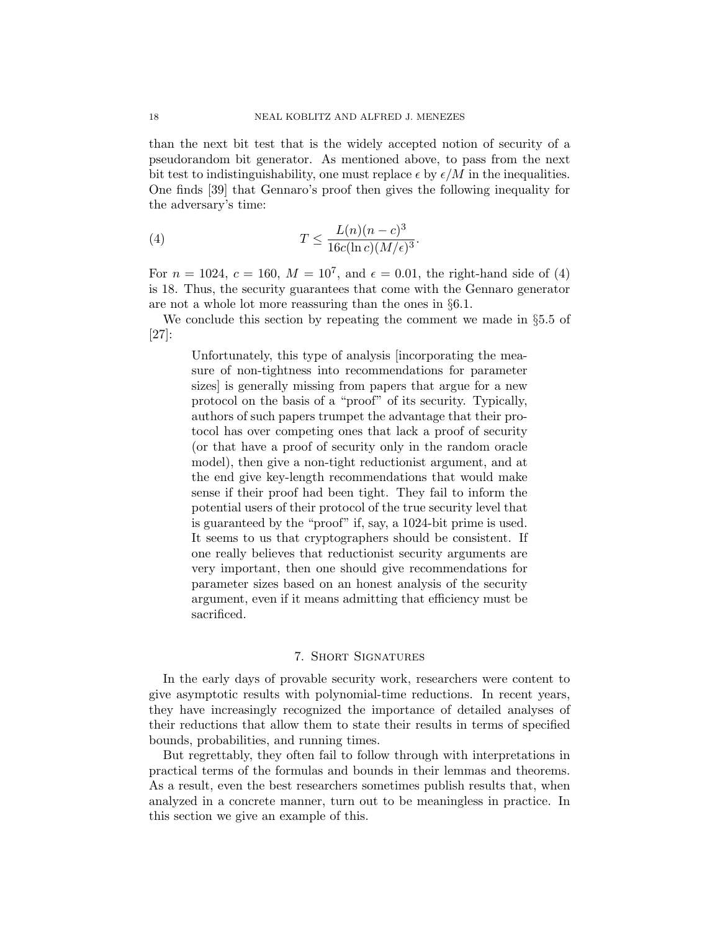than the next bit test that is the widely accepted notion of security of a pseudorandom bit generator. As mentioned above, to pass from the next bit test to indistinguishability, one must replace  $\epsilon$  by  $\epsilon/M$  in the inequalities. One finds [39] that Gennaro's proof then gives the following inequality for the adversary's time:

(4) 
$$
T \le \frac{L(n)(n-c)^3}{16c(\ln c)(M/\epsilon)^3}.
$$

For  $n = 1024$ ,  $c = 160$ ,  $M = 10^7$ , and  $\epsilon = 0.01$ , the right-hand side of (4) is 18. Thus, the security guarantees that come with the Gennaro generator are not a whole lot more reassuring than the ones in §6.1.

We conclude this section by repeating the comment we made in §5.5 of [27]:

Unfortunately, this type of analysis [incorporating the measure of non-tightness into recommendations for parameter sizes] is generally missing from papers that argue for a new protocol on the basis of a "proof" of its security. Typically, authors of such papers trumpet the advantage that their protocol has over competing ones that lack a proof of security (or that have a proof of security only in the random oracle model), then give a non-tight reductionist argument, and at the end give key-length recommendations that would make sense if their proof had been tight. They fail to inform the potential users of their protocol of the true security level that is guaranteed by the "proof" if, say, a 1024-bit prime is used. It seems to us that cryptographers should be consistent. If one really believes that reductionist security arguments are very important, then one should give recommendations for parameter sizes based on an honest analysis of the security argument, even if it means admitting that efficiency must be sacrificed.

## 7. Short Signatures

In the early days of provable security work, researchers were content to give asymptotic results with polynomial-time reductions. In recent years, they have increasingly recognized the importance of detailed analyses of their reductions that allow them to state their results in terms of specified bounds, probabilities, and running times.

But regrettably, they often fail to follow through with interpretations in practical terms of the formulas and bounds in their lemmas and theorems. As a result, even the best researchers sometimes publish results that, when analyzed in a concrete manner, turn out to be meaningless in practice. In this section we give an example of this.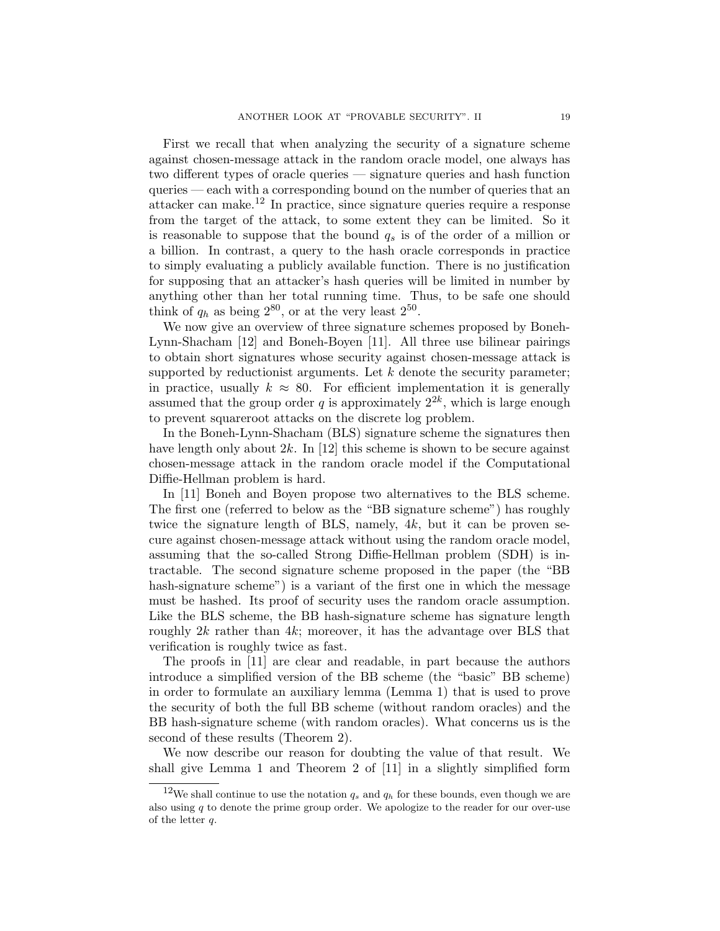First we recall that when analyzing the security of a signature scheme against chosen-message attack in the random oracle model, one always has two different types of oracle queries — signature queries and hash function queries — each with a corresponding bound on the number of queries that an attacker can make.<sup>12</sup> In practice, since signature queries require a response from the target of the attack, to some extent they can be limited. So it is reasonable to suppose that the bound  $q_s$  is of the order of a million or a billion. In contrast, a query to the hash oracle corresponds in practice to simply evaluating a publicly available function. There is no justification for supposing that an attacker's hash queries will be limited in number by anything other than her total running time. Thus, to be safe one should think of  $q_h$  as being  $2^{80}$ , or at the very least  $2^{50}$ .

We now give an overview of three signature schemes proposed by Boneh-Lynn-Shacham [12] and Boneh-Boyen [11]. All three use bilinear pairings to obtain short signatures whose security against chosen-message attack is supported by reductionist arguments. Let  $k$  denote the security parameter; in practice, usually  $k \approx 80$ . For efficient implementation it is generally assumed that the group order q is approximately  $2^{2k}$ , which is large enough to prevent squareroot attacks on the discrete log problem.

In the Boneh-Lynn-Shacham (BLS) signature scheme the signatures then have length only about  $2k$ . In [12] this scheme is shown to be secure against chosen-message attack in the random oracle model if the Computational Diffie-Hellman problem is hard.

In [11] Boneh and Boyen propose two alternatives to the BLS scheme. The first one (referred to below as the "BB signature scheme") has roughly twice the signature length of BLS, namely,  $4k$ , but it can be proven secure against chosen-message attack without using the random oracle model, assuming that the so-called Strong Diffie-Hellman problem (SDH) is intractable. The second signature scheme proposed in the paper (the "BB hash-signature scheme") is a variant of the first one in which the message must be hashed. Its proof of security uses the random oracle assumption. Like the BLS scheme, the BB hash-signature scheme has signature length roughly  $2k$  rather than  $4k$ ; moreover, it has the advantage over BLS that verification is roughly twice as fast.

The proofs in [11] are clear and readable, in part because the authors introduce a simplified version of the BB scheme (the "basic" BB scheme) in order to formulate an auxiliary lemma (Lemma 1) that is used to prove the security of both the full BB scheme (without random oracles) and the BB hash-signature scheme (with random oracles). What concerns us is the second of these results (Theorem 2).

We now describe our reason for doubting the value of that result. We shall give Lemma 1 and Theorem 2 of [11] in a slightly simplified form

<sup>&</sup>lt;sup>12</sup>We shall continue to use the notation  $q_s$  and  $q_h$  for these bounds, even though we are also using  $q$  to denote the prime group order. We apologize to the reader for our over-use of the letter q.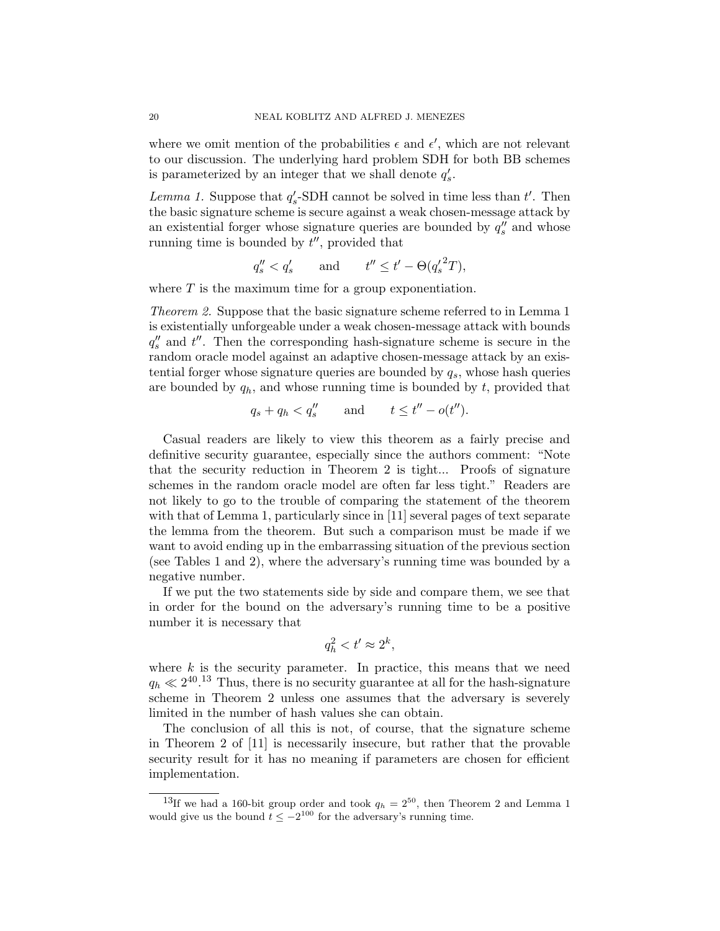where we omit mention of the probabilities  $\epsilon$  and  $\epsilon'$ , which are not relevant to our discussion. The underlying hard problem SDH for both BB schemes is parameterized by an integer that we shall denote  $q'_{s}$ .

Lemma 1. Suppose that  $q'_s$ -SDH cannot be solved in time less than  $t'$ . Then the basic signature scheme is secure against a weak chosen-message attack by an existential forger whose signature queries are bounded by  $q_s''$  and whose running time is bounded by  $t''$ , provided that

$$
q_s'' < q_s' \qquad \text{and} \qquad t'' \le t' - \Theta(q_s'^2 T),
$$

where  $T$  is the maximum time for a group exponentiation.

Theorem 2. Suppose that the basic signature scheme referred to in Lemma 1 is existentially unforgeable under a weak chosen-message attack with bounds  $q''_s$  and  $t''$ . Then the corresponding hash-signature scheme is secure in the random oracle model against an adaptive chosen-message attack by an existential forger whose signature queries are bounded by  $q_s$ , whose hash queries are bounded by  $q_h$ , and whose running time is bounded by  $t$ , provided that

$$
q_s + q_h < q_s'' \qquad \text{and} \qquad t \leq t'' - o(t'').
$$

Casual readers are likely to view this theorem as a fairly precise and definitive security guarantee, especially since the authors comment: "Note that the security reduction in Theorem 2 is tight... Proofs of signature schemes in the random oracle model are often far less tight." Readers are not likely to go to the trouble of comparing the statement of the theorem with that of Lemma 1, particularly since in [11] several pages of text separate the lemma from the theorem. But such a comparison must be made if we want to avoid ending up in the embarrassing situation of the previous section (see Tables 1 and 2), where the adversary's running time was bounded by a negative number.

If we put the two statements side by side and compare them, we see that in order for the bound on the adversary's running time to be a positive number it is necessary that

$$
q_h^2 < t' \approx 2^k,
$$

where  $k$  is the security parameter. In practice, this means that we need  $q_h \ll 2^{40}$ .<sup>13</sup> Thus, there is no security guarantee at all for the hash-signature scheme in Theorem 2 unless one assumes that the adversary is severely limited in the number of hash values she can obtain.

The conclusion of all this is not, of course, that the signature scheme in Theorem 2 of [11] is necessarily insecure, but rather that the provable security result for it has no meaning if parameters are chosen for efficient implementation.

<sup>&</sup>lt;sup>13</sup>If we had a 160-bit group order and took  $q_h = 2^{50}$ , then Theorem 2 and Lemma 1 would give us the bound  $t \leq -2^{100}$  for the adversary's running time.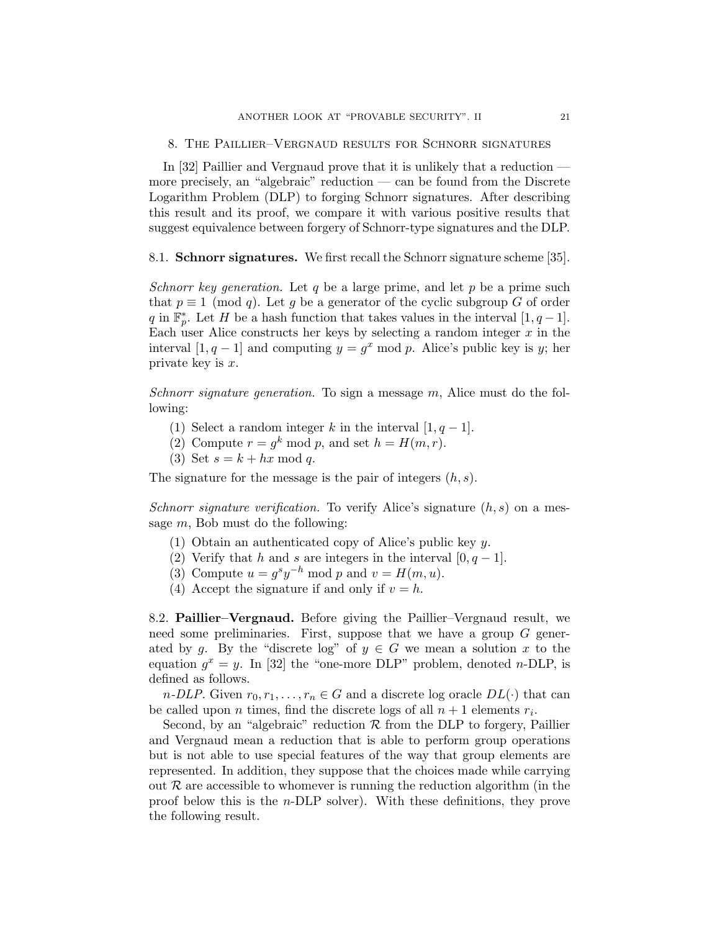8. The Paillier–Vergnaud results for Schnorr signatures

In [32] Paillier and Vergnaud prove that it is unlikely that a reduction more precisely, an "algebraic" reduction — can be found from the Discrete Logarithm Problem (DLP) to forging Schnorr signatures. After describing this result and its proof, we compare it with various positive results that suggest equivalence between forgery of Schnorr-type signatures and the DLP.

8.1. Schnorr signatures. We first recall the Schnorr signature scheme [35].

Schnorr key generation. Let q be a large prime, and let  $p$  be a prime such that  $p \equiv 1 \pmod{q}$ . Let g be a generator of the cyclic subgroup G of order q in  $\mathbb{F}_p^*$ . Let H be a hash function that takes values in the interval  $[1, q-1]$ . Each user Alice constructs her keys by selecting a random integer  $x$  in the interval  $[1, q-1]$  and computing  $y = g^x \mod p$ . Alice's public key is y; her private key is  $x$ .

Schnorr signature generation. To sign a message  $m$ , Alice must do the following:

- (1) Select a random integer k in the interval  $[1, q-1]$ .
- (2) Compute  $r = g^k \mod p$ , and set  $h = H(m, r)$ .
- (3) Set  $s = k + hx \mod q$ .

The signature for the message is the pair of integers  $(h, s)$ .

Schnorr signature verification. To verify Alice's signature  $(h, s)$  on a message  $m$ , Bob must do the following:

- (1) Obtain an authenticated copy of Alice's public key y.
- (2) Verify that h and s are integers in the interval  $[0, q-1]$ .
- (3) Compute  $u = g^s y^{-h} \text{ mod } p$  and  $v = H(m, u)$ .
- (4) Accept the signature if and only if  $v = h$ .

8.2. Paillier–Vergnaud. Before giving the Paillier–Vergnaud result, we need some preliminaries. First, suppose that we have a group  $G$  generated by g. By the "discrete log" of  $y \in G$  we mean a solution x to the equation  $g^x = y$ . In [32] the "one-more DLP" problem, denoted *n*-DLP, is defined as follows.

*n*-*DLP*. Given  $r_0, r_1, \ldots, r_n \in G$  and a discrete log oracle  $DL(\cdot)$  that can be called upon *n* times, find the discrete logs of all  $n + 1$  elements  $r_i$ .

Second, by an "algebraic" reduction  $R$  from the DLP to forgery, Paillier and Vergnaud mean a reduction that is able to perform group operations but is not able to use special features of the way that group elements are represented. In addition, they suppose that the choices made while carrying out  $R$  are accessible to whomever is running the reduction algorithm (in the proof below this is the n-DLP solver). With these definitions, they prove the following result.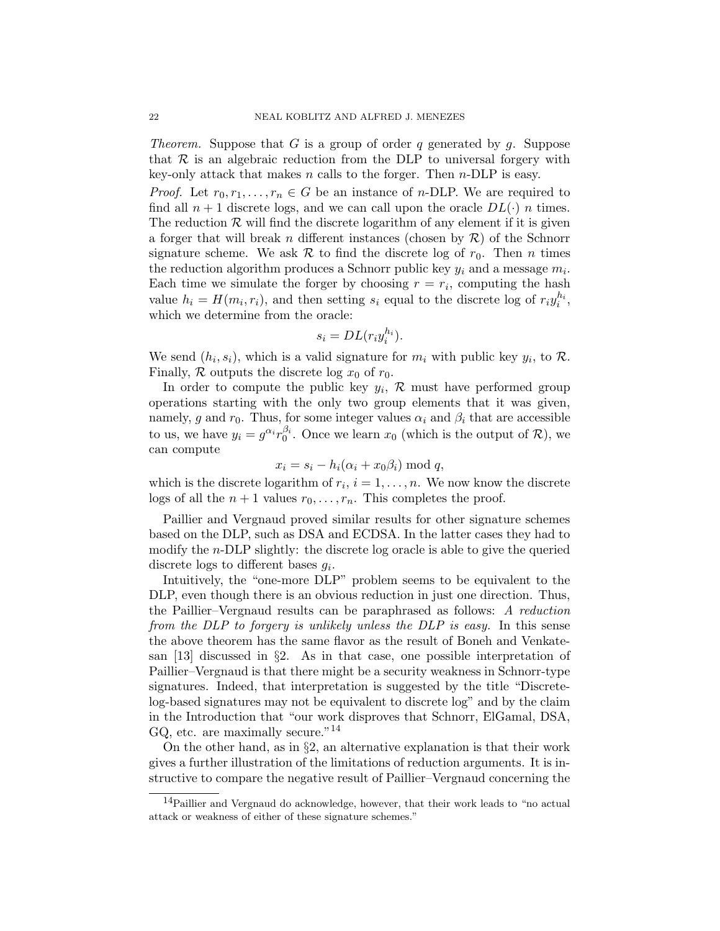*Theorem.* Suppose that G is a group of order q generated by g. Suppose that  $\mathcal R$  is an algebraic reduction from the DLP to universal forgery with key-only attack that makes  $n$  calls to the forger. Then  $n$ -DLP is easy.

*Proof.* Let  $r_0, r_1, \ldots, r_n \in G$  be an instance of *n*-DLP. We are required to find all  $n + 1$  discrete logs, and we can call upon the oracle  $DL(\cdot)$  n times. The reduction  $\mathcal R$  will find the discrete logarithm of any element if it is given a forger that will break n different instances (chosen by  $\mathcal{R}$ ) of the Schnorr signature scheme. We ask  $\mathcal R$  to find the discrete log of  $r_0$ . Then n times the reduction algorithm produces a Schnorr public key  $y_i$  and a message  $m_i$ . Each time we simulate the forger by choosing  $r = r_i$ , computing the hash value  $h_i = H(m_i, r_i)$ , and then setting  $s_i$  equal to the discrete log of  $r_i y_i^{h_i}$ , which we determine from the oracle:

$$
s_i = DL(r_i y_i^{h_i}).
$$

We send  $(h_i, s_i)$ , which is a valid signature for  $m_i$  with public key  $y_i$ , to  $\mathcal{R}$ . Finally,  $\mathcal R$  outputs the discrete log  $x_0$  of  $r_0$ .

In order to compute the public key  $y_i$ ,  $\mathcal{R}$  must have performed group operations starting with the only two group elements that it was given, namely, g and  $r_0$ . Thus, for some integer values  $\alpha_i$  and  $\beta_i$  that are accessible to us, we have  $y_i = g^{\alpha_i} r_0^{\beta_i}$ . Once we learn  $x_0$  (which is the output of  $\mathcal{R}$ ), we can compute

$$
x_i = s_i - h_i(\alpha_i + x_0\beta_i) \bmod q,
$$

which is the discrete logarithm of  $r_i$ ,  $i = 1, \ldots, n$ . We now know the discrete logs of all the  $n+1$  values  $r_0, \ldots, r_n$ . This completes the proof.

Paillier and Vergnaud proved similar results for other signature schemes based on the DLP, such as DSA and ECDSA. In the latter cases they had to modify the *n*-DLP slightly: the discrete log oracle is able to give the queried discrete logs to different bases  $g_i$ .

Intuitively, the "one-more DLP" problem seems to be equivalent to the DLP, even though there is an obvious reduction in just one direction. Thus, the Paillier–Vergnaud results can be paraphrased as follows: A reduction from the DLP to forgery is unlikely unless the DLP is easy. In this sense the above theorem has the same flavor as the result of Boneh and Venkatesan [13] discussed in §2. As in that case, one possible interpretation of Paillier–Vergnaud is that there might be a security weakness in Schnorr-type signatures. Indeed, that interpretation is suggested by the title "Discretelog-based signatures may not be equivalent to discrete log" and by the claim in the Introduction that "our work disproves that Schnorr, ElGamal, DSA, GQ, etc. are maximally secure."<sup>14</sup>

On the other hand, as in §2, an alternative explanation is that their work gives a further illustration of the limitations of reduction arguments. It is instructive to compare the negative result of Paillier–Vergnaud concerning the

<sup>&</sup>lt;sup>14</sup>Paillier and Vergnaud do acknowledge, however, that their work leads to "no actual attack or weakness of either of these signature schemes."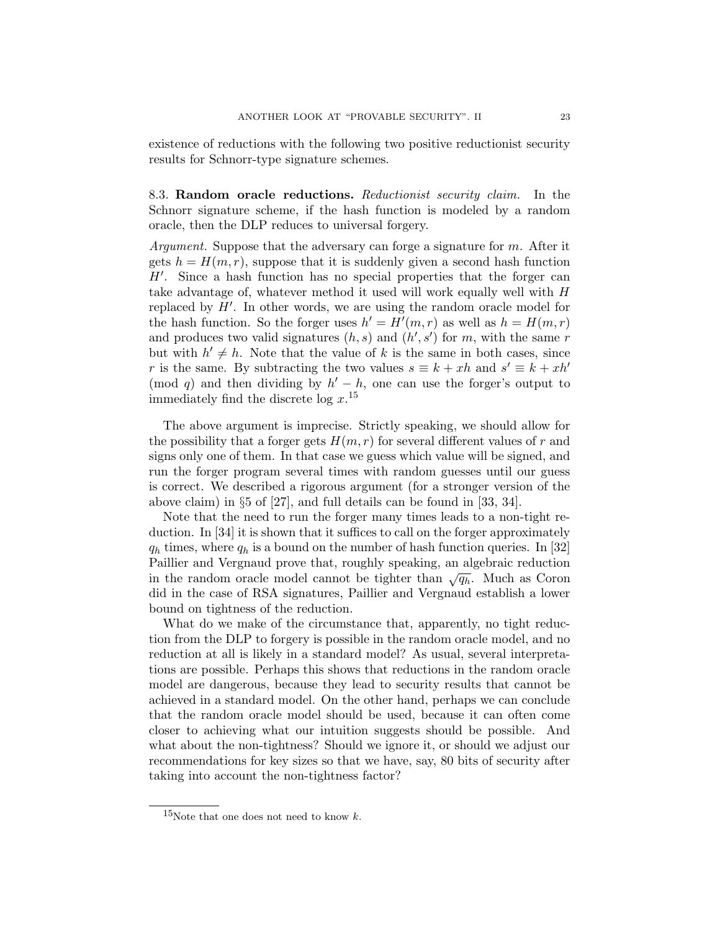existence of reductions with the following two positive reductionist security results for Schnorr-type signature schemes.

8.3. Random oracle reductions. Reductionist security claim. In the Schnorr signature scheme, if the hash function is modeled by a random oracle, then the DLP reduces to universal forgery.

Argument. Suppose that the adversary can forge a signature for m. After it gets  $h = H(m, r)$ , suppose that it is suddenly given a second hash function  $H'$ . Since a hash function has no special properties that the forger can take advantage of, whatever method it used will work equally well with H replaced by  $H'$ . In other words, we are using the random oracle model for the hash function. So the forger uses  $h' = H'(m,r)$  as well as  $h = H(m,r)$ and produces two valid signatures  $(h, s)$  and  $(h', s')$  for m, with the same r but with  $h' \neq h$ . Note that the value of k is the same in both cases, since r is the same. By subtracting the two values  $s \equiv k + xh$  and  $s' \equiv k + xh'$ (mod q) and then dividing by  $h' - h$ , one can use the forger's output to immediately find the discrete  $\log x$ .<sup>15</sup>

The above argument is imprecise. Strictly speaking, we should allow for the possibility that a forger gets  $H(m, r)$  for several different values of r and signs only one of them. In that case we guess which value will be signed, and run the forger program several times with random guesses until our guess is correct. We described a rigorous argument (for a stronger version of the above claim) in §5 of [27], and full details can be found in [33, 34].

Note that the need to run the forger many times leads to a non-tight reduction. In [34] it is shown that it suffices to call on the forger approximately  $q_h$  times, where  $q_h$  is a bound on the number of hash function queries. In [32] Paillier and Vergnaud prove that, roughly speaking, an algebraic reduction in the random oracle model cannot be tighter than  $\sqrt{q_h}$ . Much as Coron did in the case of RSA signatures, Paillier and Vergnaud establish a lower bound on tightness of the reduction.

What do we make of the circumstance that, apparently, no tight reduction from the DLP to forgery is possible in the random oracle model, and no reduction at all is likely in a standard model? As usual, several interpretations are possible. Perhaps this shows that reductions in the random oracle model are dangerous, because they lead to security results that cannot be achieved in a standard model. On the other hand, perhaps we can conclude that the random oracle model should be used, because it can often come closer to achieving what our intuition suggests should be possible. And what about the non-tightness? Should we ignore it, or should we adjust our recommendations for key sizes so that we have, say, 80 bits of security after taking into account the non-tightness factor?

<sup>&</sup>lt;sup>15</sup>Note that one does not need to know  $k$ .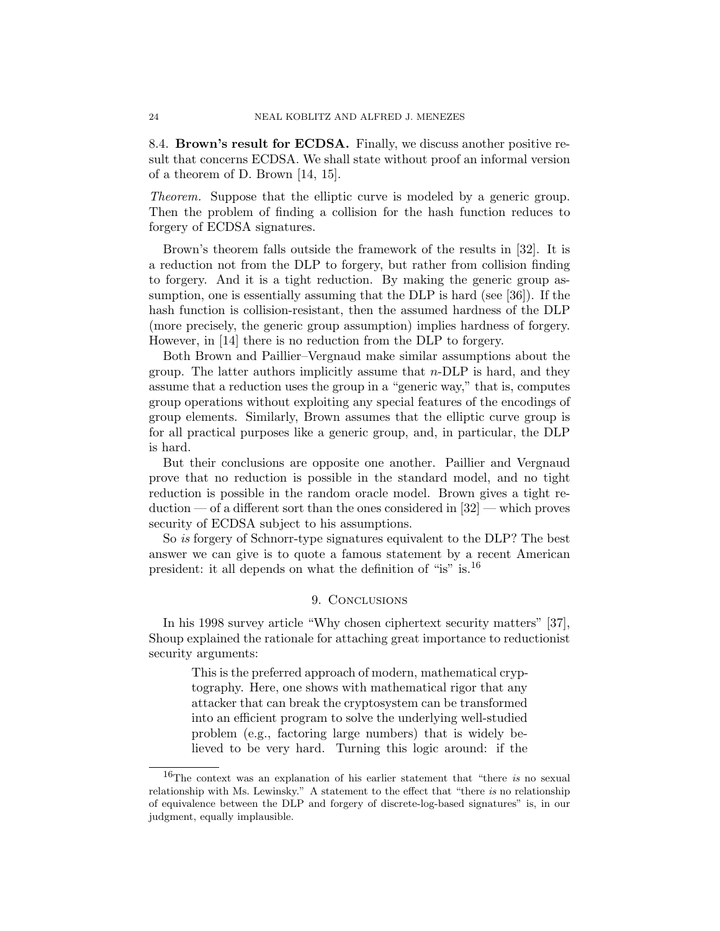8.4. Brown's result for ECDSA. Finally, we discuss another positive result that concerns ECDSA. We shall state without proof an informal version of a theorem of D. Brown [14, 15].

Theorem. Suppose that the elliptic curve is modeled by a generic group. Then the problem of finding a collision for the hash function reduces to forgery of ECDSA signatures.

Brown's theorem falls outside the framework of the results in [32]. It is a reduction not from the DLP to forgery, but rather from collision finding to forgery. And it is a tight reduction. By making the generic group assumption, one is essentially assuming that the DLP is hard (see [36]). If the hash function is collision-resistant, then the assumed hardness of the DLP (more precisely, the generic group assumption) implies hardness of forgery. However, in [14] there is no reduction from the DLP to forgery.

Both Brown and Paillier–Vergnaud make similar assumptions about the group. The latter authors implicitly assume that  $n\text{-DLP}$  is hard, and they assume that a reduction uses the group in a "generic way," that is, computes group operations without exploiting any special features of the encodings of group elements. Similarly, Brown assumes that the elliptic curve group is for all practical purposes like a generic group, and, in particular, the DLP is hard.

But their conclusions are opposite one another. Paillier and Vergnaud prove that no reduction is possible in the standard model, and no tight reduction is possible in the random oracle model. Brown gives a tight re- $\text{duction} - \text{of a different sort}$  than the ones considered in  $[32] -$  which proves security of ECDSA subject to his assumptions.

So is forgery of Schnorr-type signatures equivalent to the DLP? The best answer we can give is to quote a famous statement by a recent American president: it all depends on what the definition of "is" is.<sup>16</sup>

# 9. Conclusions

In his 1998 survey article "Why chosen ciphertext security matters" [37], Shoup explained the rationale for attaching great importance to reductionist security arguments:

> This is the preferred approach of modern, mathematical cryptography. Here, one shows with mathematical rigor that any attacker that can break the cryptosystem can be transformed into an efficient program to solve the underlying well-studied problem (e.g., factoring large numbers) that is widely believed to be very hard. Turning this logic around: if the

<sup>16</sup>The context was an explanation of his earlier statement that "there is no sexual relationship with Ms. Lewinsky." A statement to the effect that "there is no relationship of equivalence between the DLP and forgery of discrete-log-based signatures" is, in our judgment, equally implausible.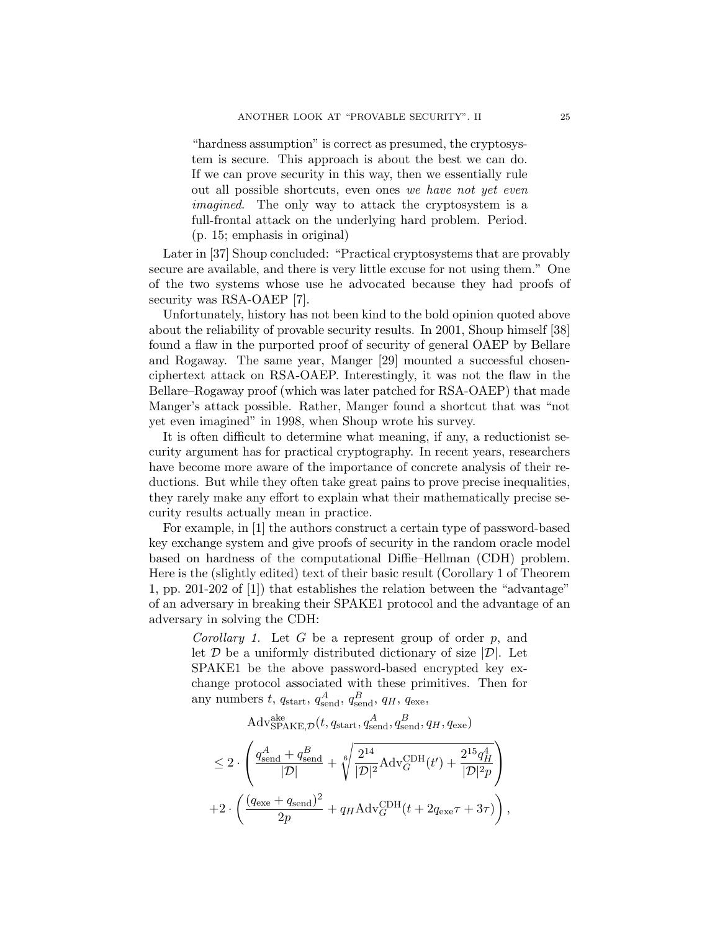"hardness assumption" is correct as presumed, the cryptosystem is secure. This approach is about the best we can do. If we can prove security in this way, then we essentially rule out all possible shortcuts, even ones we have not yet even imagined. The only way to attack the cryptosystem is a full-frontal attack on the underlying hard problem. Period. (p. 15; emphasis in original)

Later in [37] Shoup concluded: "Practical cryptosystems that are provably secure are available, and there is very little excuse for not using them." One of the two systems whose use he advocated because they had proofs of security was RSA-OAEP [7].

Unfortunately, history has not been kind to the bold opinion quoted above about the reliability of provable security results. In 2001, Shoup himself [38] found a flaw in the purported proof of security of general OAEP by Bellare and Rogaway. The same year, Manger [29] mounted a successful chosenciphertext attack on RSA-OAEP. Interestingly, it was not the flaw in the Bellare–Rogaway proof (which was later patched for RSA-OAEP) that made Manger's attack possible. Rather, Manger found a shortcut that was "not yet even imagined" in 1998, when Shoup wrote his survey.

It is often difficult to determine what meaning, if any, a reductionist security argument has for practical cryptography. In recent years, researchers have become more aware of the importance of concrete analysis of their reductions. But while they often take great pains to prove precise inequalities, they rarely make any effort to explain what their mathematically precise security results actually mean in practice.

For example, in [1] the authors construct a certain type of password-based key exchange system and give proofs of security in the random oracle model based on hardness of the computational Diffie–Hellman (CDH) problem. Here is the (slightly edited) text of their basic result (Corollary 1 of Theorem 1, pp. 201-202 of [1]) that establishes the relation between the "advantage" of an adversary in breaking their SPAKE1 protocol and the advantage of an adversary in solving the CDH:

> Corollary 1. Let  $G$  be a represent group of order  $p$ , and let  $\mathcal D$  be a uniformly distributed dictionary of size  $|\mathcal D|$ . Let SPAKE1 be the above password-based encrypted key exchange protocol associated with these primitives. Then for any numbers t,  $q_{\text{start}}$ ,  $q_{\text{send}}^A$ ,  $q_{\text{Bend}}^B$ ,  $q_H$ ,  $q_{\text{exe}}$ ,

> > $\mathrm{Adv}_{\mathrm{SPACE}, \mathcal{D}}^{\mathrm{ake}}(t, q_{\mathrm{start}}, q_{\mathrm{send}}^A, q_{\mathrm{send}}^B, q_H, q_{\mathrm{exe}})$

$$
\leq 2 \cdot \left( \frac{q_{\text{send}}^A + q_{\text{send}}^B}{|\mathcal{D}|} + \sqrt[6]{\frac{2^{14}}{|\mathcal{D}|^2} \text{Adv}_G^{\text{CDH}}(t') + \frac{2^{15}q_H^4}{|\mathcal{D}|^2 p}} \right) + 2 \cdot \left( \frac{(q_{\text{exe}} + q_{\text{send}})^2}{2p} + q_H \text{Adv}_G^{\text{CDH}}(t + 2q_{\text{exe}}\tau + 3\tau) \right)
$$

,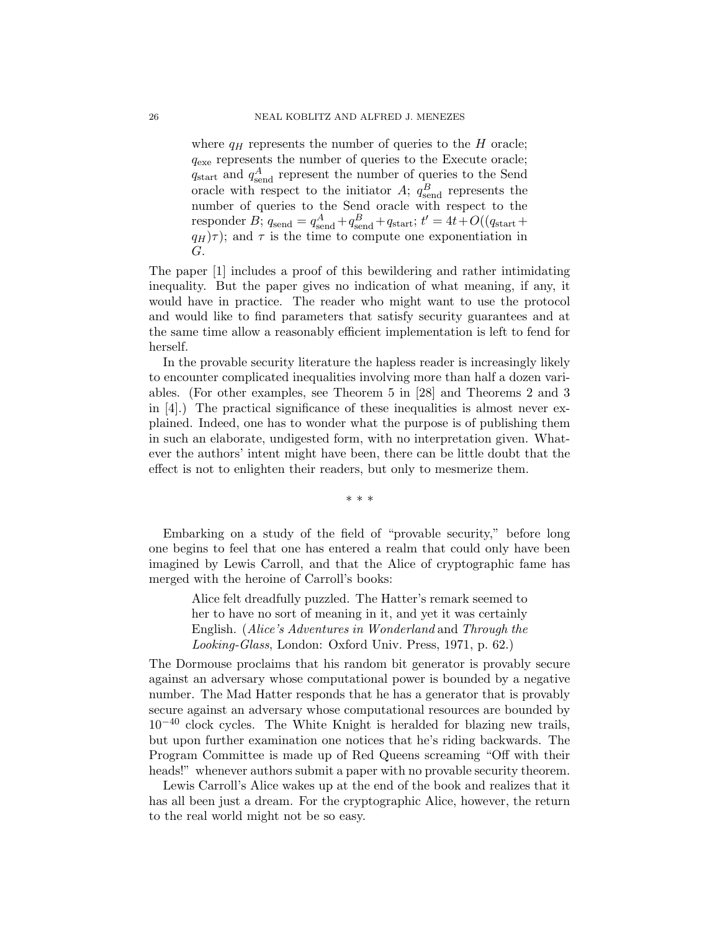where  $q_H$  represents the number of queries to the  $H$  oracle;  $q_{\text{exe}}$  represents the number of queries to the Execute oracle;  $q_{\text{start}}$  and  $q_{\text{send}}^A$  represent the number of queries to the Send oracle with respect to the initiator  $A; q_{\text{send}}^B$  represents the number of queries to the Send oracle with respect to the responder B;  $q_{\text{send}} = q_{\text{send}}^A + q_{\text{send}}^B + q_{\text{start}}$ ;  $t' = 4t + O((q_{\text{start}} +$  $(q_H)\tau$ ; and  $\tau$  is the time to compute one exponentiation in G.

The paper [1] includes a proof of this bewildering and rather intimidating inequality. But the paper gives no indication of what meaning, if any, it would have in practice. The reader who might want to use the protocol and would like to find parameters that satisfy security guarantees and at the same time allow a reasonably efficient implementation is left to fend for herself.

In the provable security literature the hapless reader is increasingly likely to encounter complicated inequalities involving more than half a dozen variables. (For other examples, see Theorem 5 in [28] and Theorems 2 and 3 in [4].) The practical significance of these inequalities is almost never explained. Indeed, one has to wonder what the purpose is of publishing them in such an elaborate, undigested form, with no interpretation given. Whatever the authors' intent might have been, there can be little doubt that the effect is not to enlighten their readers, but only to mesmerize them.

\* \* \*

Embarking on a study of the field of "provable security," before long one begins to feel that one has entered a realm that could only have been imagined by Lewis Carroll, and that the Alice of cryptographic fame has merged with the heroine of Carroll's books:

> Alice felt dreadfully puzzled. The Hatter's remark seemed to her to have no sort of meaning in it, and yet it was certainly English. (Alice's Adventures in Wonderland and Through the Looking-Glass, London: Oxford Univ. Press, 1971, p. 62.)

The Dormouse proclaims that his random bit generator is provably secure against an adversary whose computational power is bounded by a negative number. The Mad Hatter responds that he has a generator that is provably secure against an adversary whose computational resources are bounded by  $10^{-40}$  clock cycles. The White Knight is heralded for blazing new trails, but upon further examination one notices that he's riding backwards. The Program Committee is made up of Red Queens screaming "Off with their heads!" whenever authors submit a paper with no provable security theorem.

Lewis Carroll's Alice wakes up at the end of the book and realizes that it has all been just a dream. For the cryptographic Alice, however, the return to the real world might not be so easy.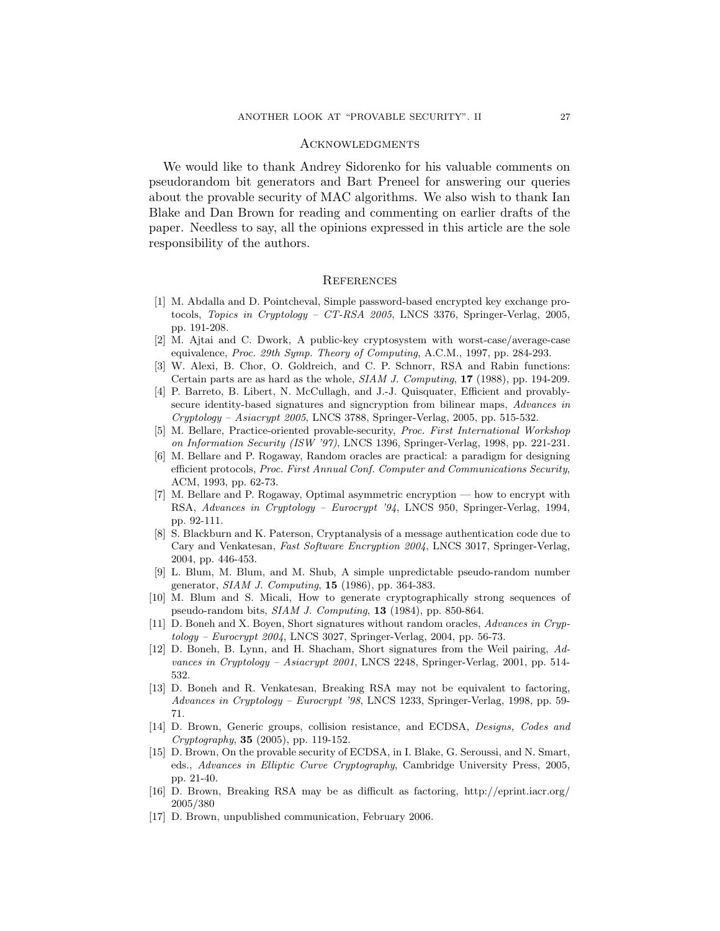#### **ACKNOWLEDGMENTS**

We would like to thank Andrey Sidorenko for his valuable comments on pseudorandom bit generators and Bart Preneel for answering our queries about the provable security of MAC algorithms. We also wish to thank Ian Blake and Dan Brown for reading and commenting on earlier drafts of the paper. Needless to say, all the opinions expressed in this article are the sole responsibility of the authors.

#### **REFERENCES**

- [1] M. Abdalla and D. Pointcheval, Simple password-based encrypted key exchange protocols, Topics in Cryptology – CT-RSA 2005, LNCS 3376, Springer-Verlag, 2005, pp. 191-208.
- [2] M. Ajtai and C. Dwork, A public-key cryptosystem with worst-case/average-case equivalence, Proc. 29th Symp. Theory of Computing, A.C.M., 1997, pp. 284-293.
- W. Alexi, B. Chor, O. Goldreich, and C. P. Schnorr, RSA and Rabin functions: Certain parts are as hard as the whole, SIAM J. Computing, 17 (1988), pp. 194-209.
- [4] P. Barreto, B. Libert, N. McCullagh, and J.-J. Quisquater, Efficient and provablysecure identity-based signatures and signcryption from bilinear maps, Advances in Cryptology – Asiacrypt 2005, LNCS 3788, Springer-Verlag, 2005, pp. 515-532.
- [5] M. Bellare, Practice-oriented provable-security, Proc. First International Workshop on Information Security (ISW '97), LNCS 1396, Springer-Verlag, 1998, pp. 221-231.
- [6] M. Bellare and P. Rogaway, Random oracles are practical: a paradigm for designing efficient protocols, Proc. First Annual Conf. Computer and Communications Security, ACM, 1993, pp. 62-73.
- [7] M. Bellare and P. Rogaway, Optimal asymmetric encryption how to encrypt with RSA, Advances in Cryptology – Eurocrypt '94, LNCS 950, Springer-Verlag, 1994, pp. 92-111.
- [8] S. Blackburn and K. Paterson, Cryptanalysis of a message authentication code due to Cary and Venkatesan, Fast Software Encryption 2004, LNCS 3017, Springer-Verlag, 2004, pp. 446-453.
- [9] L. Blum, M. Blum, and M. Shub, A simple unpredictable pseudo-random number generator, SIAM J. Computing, 15 (1986), pp. 364-383.
- [10] M. Blum and S. Micali, How to generate cryptographically strong sequences of pseudo-random bits, SIAM J. Computing, 13 (1984), pp. 850-864.
- [11] D. Boneh and X. Boyen, Short signatures without random oracles, Advances in Cryp $tology - Eurocrypt 2004$ , LNCS 3027, Springer-Verlag, 2004, pp. 56-73.
- [12] D. Boneh, B. Lynn, and H. Shacham, Short signatures from the Weil pairing, Advances in Cryptology – Asiacrypt 2001, LNCS 2248, Springer-Verlag, 2001, pp. 514- 532.
- [13] D. Boneh and R. Venkatesan, Breaking RSA may not be equivalent to factoring, Advances in Cryptology – Eurocrypt '98, LNCS 1233, Springer-Verlag, 1998, pp. 59- 71.
- [14] D. Brown, Generic groups, collision resistance, and ECDSA, Designs, Codes and Cryptography, 35 (2005), pp. 119-152.
- [15] D. Brown, On the provable security of ECDSA, in I. Blake, G. Seroussi, and N. Smart, eds., Advances in Elliptic Curve Cryptography, Cambridge University Press, 2005, pp. 21-40.
- [16] D. Brown, Breaking RSA may be as difficult as factoring, http://eprint.iacr.org/ 2005/380
- [17] D. Brown, unpublished communication, February 2006.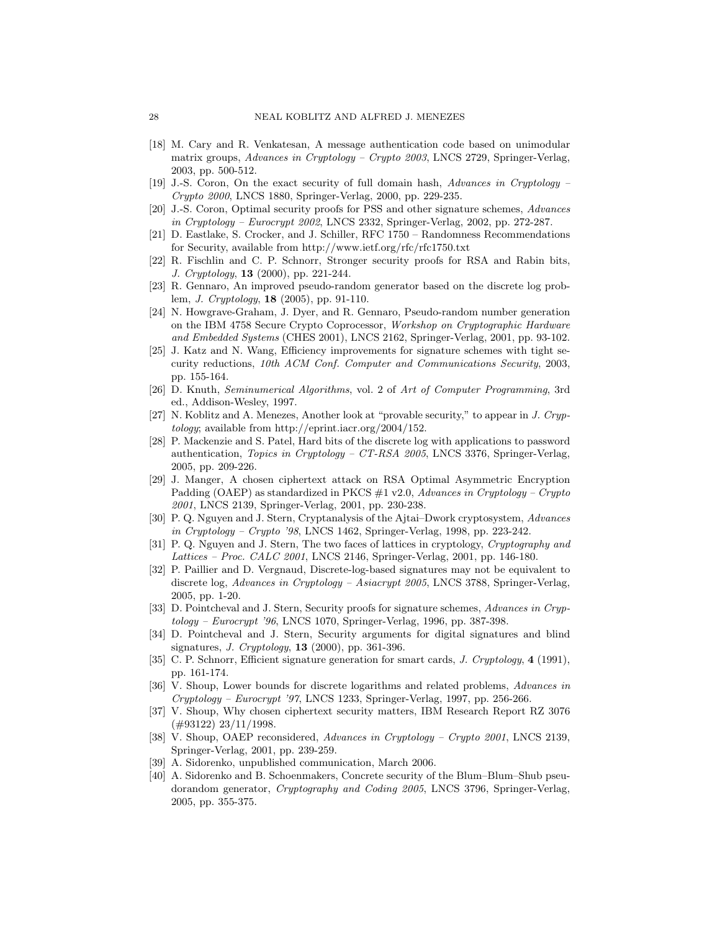- [18] M. Cary and R. Venkatesan, A message authentication code based on unimodular matrix groups, Advances in Cryptology – Crypto 2003, LNCS 2729, Springer-Verlag, 2003, pp. 500-512.
- [19] J.-S. Coron, On the exact security of full domain hash, Advances in Cryptology Crypto 2000, LNCS 1880, Springer-Verlag, 2000, pp. 229-235.
- [20] J.-S. Coron, Optimal security proofs for PSS and other signature schemes, Advances in Cryptology – Eurocrypt 2002, LNCS 2332, Springer-Verlag, 2002, pp. 272-287.
- [21] D. Eastlake, S. Crocker, and J. Schiller, RFC 1750 Randomness Recommendations for Security, available from http://www.ietf.org/rfc/rfc1750.txt
- [22] R. Fischlin and C. P. Schnorr, Stronger security proofs for RSA and Rabin bits, J. Cryptology, 13 (2000), pp. 221-244.
- [23] R. Gennaro, An improved pseudo-random generator based on the discrete log problem, J. Cryptology, 18 (2005), pp. 91-110.
- [24] N. Howgrave-Graham, J. Dyer, and R. Gennaro, Pseudo-random number generation on the IBM 4758 Secure Crypto Coprocessor, Workshop on Cryptographic Hardware and Embedded Systems (CHES 2001), LNCS 2162, Springer-Verlag, 2001, pp. 93-102.
- [25] J. Katz and N. Wang, Efficiency improvements for signature schemes with tight security reductions, 10th ACM Conf. Computer and Communications Security, 2003, pp. 155-164.
- [26] D. Knuth, Seminumerical Algorithms, vol. 2 of Art of Computer Programming, 3rd ed., Addison-Wesley, 1997.
- [27] N. Koblitz and A. Menezes, Another look at "provable security," to appear in J. Cryptology; available from http://eprint.iacr.org/2004/152.
- [28] P. Mackenzie and S. Patel, Hard bits of the discrete log with applications to password authentication, Topics in Cryptology – CT-RSA 2005, LNCS 3376, Springer-Verlag, 2005, pp. 209-226.
- [29] J. Manger, A chosen ciphertext attack on RSA Optimal Asymmetric Encryption Padding (OAEP) as standardized in PKCS  $\#1$  v2.0, Advances in Cryptology – Crypto 2001, LNCS 2139, Springer-Verlag, 2001, pp. 230-238.
- [30] P. Q. Nguyen and J. Stern, Cryptanalysis of the Ajtai–Dwork cryptosystem, Advances in Cryptology – Crypto '98, LNCS 1462, Springer-Verlag, 1998, pp. 223-242.
- [31] P. Q. Nguyen and J. Stern, The two faces of lattices in cryptology, Cryptography and Lattices – Proc. CALC 2001, LNCS 2146, Springer-Verlag, 2001, pp. 146-180.
- [32] P. Paillier and D. Vergnaud, Discrete-log-based signatures may not be equivalent to discrete log, Advances in Cryptology – Asiacrypt 2005, LNCS 3788, Springer-Verlag, 2005, pp. 1-20.
- [33] D. Pointcheval and J. Stern, Security proofs for signature schemes, Advances in Cryptology – Eurocrypt '96, LNCS 1070, Springer-Verlag, 1996, pp. 387-398.
- [34] D. Pointcheval and J. Stern, Security arguments for digital signatures and blind signatures, J. Cryptology, 13 (2000), pp. 361-396.
- [35] C. P. Schnorr, Efficient signature generation for smart cards, J. Cryptology, 4 (1991), pp. 161-174.
- [36] V. Shoup, Lower bounds for discrete logarithms and related problems, Advances in  $Cryptology - Eurocrypt$  '97, LNCS 1233, Springer-Verlag, 1997, pp. 256-266.
- [37] V. Shoup, Why chosen ciphertext security matters, IBM Research Report RZ 3076 (#93122) 23/11/1998.
- [38] V. Shoup, OAEP reconsidered, Advances in Cryptology Crypto 2001, LNCS 2139, Springer-Verlag, 2001, pp. 239-259.
- [39] A. Sidorenko, unpublished communication, March 2006.
- [40] A. Sidorenko and B. Schoenmakers, Concrete security of the Blum–Blum–Shub pseudorandom generator, Cryptography and Coding 2005, LNCS 3796, Springer-Verlag, 2005, pp. 355-375.